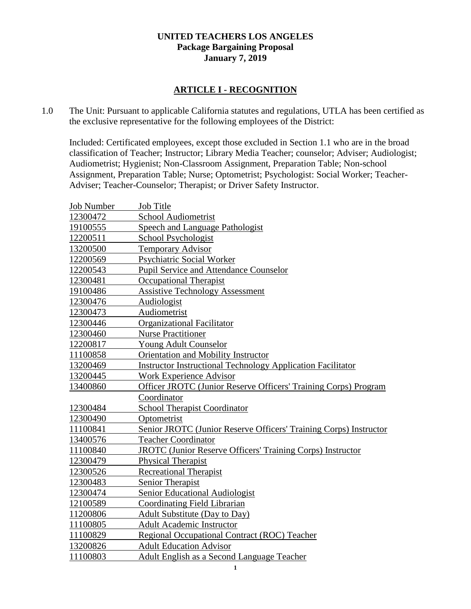### **UNITED TEACHERS LOS ANGELES Package Bargaining Proposal January 7, 2019**

### **ARTICLE I - RECOGNITION**

1.0 The Unit: Pursuant to applicable California statutes and regulations, UTLA has been certified as the exclusive representative for the following employees of the District:

Included: Certificated employees, except those excluded in Section 1.1 who are in the broad classification of Teacher; Instructor; Library Media Teacher; counselor; Adviser; Audiologist; Audiometrist; Hygienist; Non-Classroom Assignment, Preparation Table; Non-school Assignment, Preparation Table; Nurse; Optometrist; Psychologist: Social Worker; Teacher-Adviser; Teacher-Counselor; Therapist; or Driver Safety Instructor.

| <b>Job Number</b> | Job Title                                                          |
|-------------------|--------------------------------------------------------------------|
| 12300472          | School Audiometrist                                                |
| 19100555          | Speech and Language Pathologist                                    |
| 12200511          | School Psychologist                                                |
| 13200500          | <b>Temporary Advisor</b>                                           |
| 12200569          | <b>Psychiatric Social Worker</b>                                   |
| 12200543          | <b>Pupil Service and Attendance Counselor</b>                      |
| 12300481          | <b>Occupational Therapist</b>                                      |
| 19100486          | <b>Assistive Technology Assessment</b>                             |
| 12300476          | <b>Audiologist</b>                                                 |
| 12300473          | Audiometrist                                                       |
| 12300446          | <b>Organizational Facilitator</b>                                  |
| 12300460          | <b>Nurse Practitioner</b>                                          |
| 12200817          | Young Adult Counselor                                              |
| 11100858          | <b>Orientation and Mobility Instructor</b>                         |
| 13200469          | <b>Instructor Instructional Technology Application Facilitator</b> |
| 13200445          | <b>Work Experience Advisor</b>                                     |
| 13400860          | Officer JROTC (Junior Reserve Officers' Training Corps) Program    |
|                   | Coordinator                                                        |
| 12300484          | <b>School Therapist Coordinator</b>                                |
| 12300490          | Optometrist                                                        |
| 11100841          | Senior JROTC (Junior Reserve Officers' Training Corps) Instructor  |
| 13400576          | <b>Teacher Coordinator</b>                                         |
| 11100840          | <b>JROTC</b> (Junior Reserve Officers' Training Corps) Instructor  |
| 12300479          | Physical Therapist                                                 |
| 12300526          | <b>Recreational Therapist</b>                                      |
| 12300483          | Senior Therapist                                                   |
| 12300474          | <b>Senior Educational Audiologist</b>                              |
| 12100589          | Coordinating Field Librarian                                       |
| 11200806          | <b>Adult Substitute (Day to Day)</b>                               |
| 11100805          | <b>Adult Academic Instructor</b>                                   |
| 11100829          | Regional Occupational Contract (ROC) Teacher                       |
| 13200826          | <b>Adult Education Advisor</b>                                     |
| 11100803          | Adult English as a Second Language Teacher                         |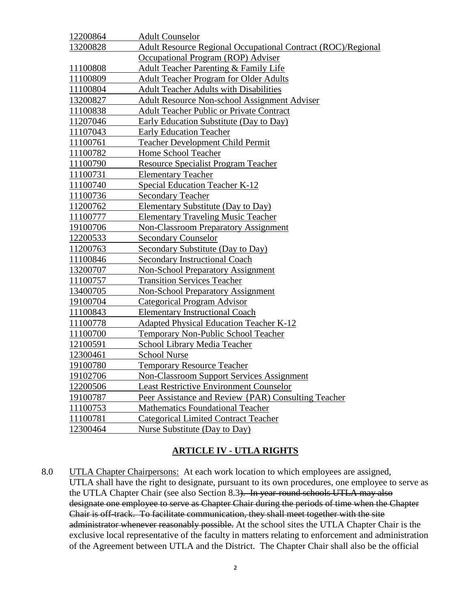| 12200864 | <b>Adult Counselor</b>                                              |
|----------|---------------------------------------------------------------------|
| 13200828 | <b>Adult Resource Regional Occupational Contract (ROC)/Regional</b> |
|          | Occupational Program (ROP) Adviser                                  |
| 11100808 | Adult Teacher Parenting & Family Life                               |
| 11100809 | <b>Adult Teacher Program for Older Adults</b>                       |
| 11100804 | <b>Adult Teacher Adults with Disabilities</b>                       |
| 13200827 | <b>Adult Resource Non-school Assignment Adviser</b>                 |
| 11100838 | <b>Adult Teacher Public or Private Contract</b>                     |
| 11207046 | Early Education Substitute (Day to Day)                             |
| 11107043 | <b>Early Education Teacher</b>                                      |
| 11100761 | <b>Teacher Development Child Permit</b>                             |
| 11100782 | Home School Teacher                                                 |
| 11100790 | <b>Resource Specialist Program Teacher</b>                          |
| 11100731 | <b>Elementary Teacher</b>                                           |
| 11100740 | Special Education Teacher K-12                                      |
| 11100736 | <b>Secondary Teacher</b>                                            |
| 11200762 | Elementary Substitute (Day to Day)                                  |
| 11100777 | <b>Elementary Traveling Music Teacher</b>                           |
| 19100706 | <b>Non-Classroom Preparatory Assignment</b>                         |
| 12200533 | <b>Secondary Counselor</b>                                          |
| 11200763 | Secondary Substitute (Day to Day)                                   |
| 11100846 | <b>Secondary Instructional Coach</b>                                |
| 13200707 | <b>Non-School Preparatory Assignment</b>                            |
| 11100757 | <b>Transition Services Teacher</b>                                  |
| 13400705 | <b>Non-School Preparatory Assignment</b>                            |
| 19100704 | <b>Categorical Program Advisor</b>                                  |
| 11100843 | <b>Elementary Instructional Coach</b>                               |
| 11100778 | <b>Adapted Physical Education Teacher K-12</b>                      |
| 11100700 | Temporary Non-Public School Teacher                                 |
| 12100591 | School Library Media Teacher                                        |
| 12300461 | <b>School Nurse</b>                                                 |
| 19100780 | <b>Temporary Resource Teacher</b>                                   |
| 19102706 | <b>Non-Classroom Support Services Assignment</b>                    |
| 12200506 | <b>Least Restrictive Environment Counselor</b>                      |
| 19100787 | Peer Assistance and Review {PAR) Consulting Teacher                 |
| 11100753 | <b>Mathematics Foundational Teacher</b>                             |
| 11100781 | <b>Categorical Limited Contract Teacher</b>                         |
| 12300464 | Nurse Substitute (Day to Day)                                       |

### **ARTICLE IV - UTLA RIGHTS**

8.0 UTLA Chapter Chairpersons: At each work location to which employees are assigned, UTLA shall have the right to designate, pursuant to its own procedures, one employee to serve as the UTLA Chapter Chair (see also Section 8.3). In year-round schools UTLA may also designate one employee to serve as Chapter Chair during the periods of time when the Chapter Chair is off-track. To facilitate communication, they shall meet together with the site administrator whenever reasonably possible. At the school sites the UTLA Chapter Chair is the exclusive local representative of the faculty in matters relating to enforcement and administration of the Agreement between UTLA and the District. The Chapter Chair shall also be the official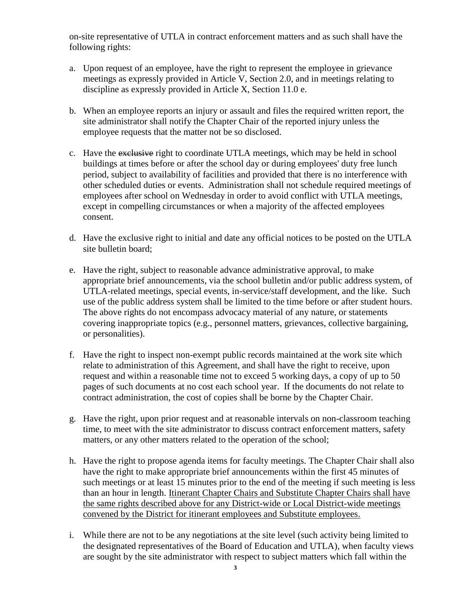on-site representative of UTLA in contract enforcement matters and as such shall have the following rights:

- a. Upon request of an employee, have the right to represent the employee in grievance meetings as expressly provided in Article V, Section 2.0, and in meetings relating to discipline as expressly provided in Article X, Section 11.0 e.
- b. When an employee reports an injury or assault and files the required written report, the site administrator shall notify the Chapter Chair of the reported injury unless the employee requests that the matter not be so disclosed.
- c. Have the exclusive right to coordinate UTLA meetings, which may be held in school buildings at times before or after the school day or during employees' duty free lunch period, subject to availability of facilities and provided that there is no interference with other scheduled duties or events. Administration shall not schedule required meetings of employees after school on Wednesday in order to avoid conflict with UTLA meetings, except in compelling circumstances or when a majority of the affected employees consent.
- d. Have the exclusive right to initial and date any official notices to be posted on the UTLA site bulletin board;
- e. Have the right, subject to reasonable advance administrative approval, to make appropriate brief announcements, via the school bulletin and/or public address system, of UTLA-related meetings, special events, in-service/staff development, and the like. Such use of the public address system shall be limited to the time before or after student hours. The above rights do not encompass advocacy material of any nature, or statements covering inappropriate topics (e.g., personnel matters, grievances, collective bargaining, or personalities).
- f. Have the right to inspect non-exempt public records maintained at the work site which relate to administration of this Agreement, and shall have the right to receive, upon request and within a reasonable time not to exceed 5 working days, a copy of up to 50 pages of such documents at no cost each school year. If the documents do not relate to contract administration, the cost of copies shall be borne by the Chapter Chair.
- g. Have the right, upon prior request and at reasonable intervals on non-classroom teaching time, to meet with the site administrator to discuss contract enforcement matters, safety matters, or any other matters related to the operation of the school;
- h. Have the right to propose agenda items for faculty meetings. The Chapter Chair shall also have the right to make appropriate brief announcements within the first 45 minutes of such meetings or at least 15 minutes prior to the end of the meeting if such meeting is less than an hour in length. Itinerant Chapter Chairs and Substitute Chapter Chairs shall have the same rights described above for any District-wide or Local District-wide meetings convened by the District for itinerant employees and Substitute employees.
- i. While there are not to be any negotiations at the site level (such activity being limited to the designated representatives of the Board of Education and UTLA), when faculty views are sought by the site administrator with respect to subject matters which fall within the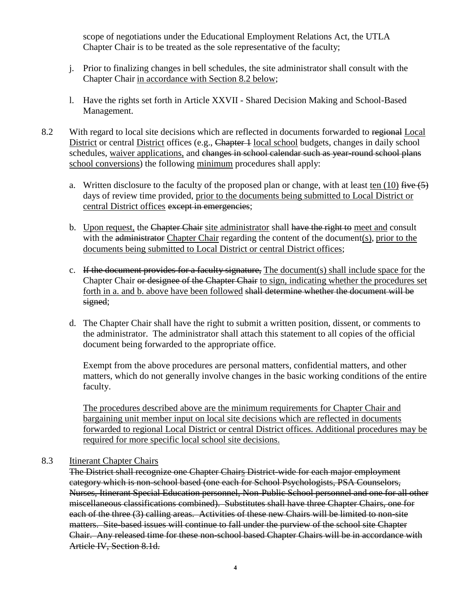scope of negotiations under the Educational Employment Relations Act, the UTLA Chapter Chair is to be treated as the sole representative of the faculty;

- j. Prior to finalizing changes in bell schedules, the site administrator shall consult with the Chapter Chair in accordance with Section 8.2 below;
- l. Have the rights set forth in Article XXVII Shared Decision Making and School-Based Management.
- 8.2 With regard to local site decisions which are reflected in documents forwarded to regional Local District or central District offices (e.g., Chapter 4 local school budgets, changes in daily school schedules, waiver applications, and changes in school calendar such as year-round school plans school conversions) the following minimum procedures shall apply:
	- a. Written disclosure to the faculty of the proposed plan or change, with at least ten  $(10)$  five  $(5)$ days of review time provided, prior to the documents being submitted to Local District or central District offices except in emergencies;
	- b. Upon request, the Chapter Chair site administrator shall have the right to meet and consult with the administrator Chapter Chair regarding the content of the document(s), prior to the documents being submitted to Local District or central District offices;
	- c. If the document provides for a faculty signature, The document(s) shall include space for the Chapter Chair or designee of the Chapter Chair to sign, indicating whether the procedures set forth in a. and b. above have been followed shall determine whether the document will be signed;
	- d. The Chapter Chair shall have the right to submit a written position, dissent, or comments to the administrator. The administrator shall attach this statement to all copies of the official document being forwarded to the appropriate office.

Exempt from the above procedures are personal matters, confidential matters, and other matters, which do not generally involve changes in the basic working conditions of the entire faculty.

The procedures described above are the minimum requirements for Chapter Chair and bargaining unit member input on local site decisions which are reflected in documents forwarded to regional Local District or central District offices. Additional procedures may be required for more specific local school site decisions.

### 8.3 Itinerant Chapter Chairs

The District shall recognize one Chapter Chairs District-wide for each major employment category which is non-school based (one each for School Psychologists, PSA Counselors, Nurses, Itinerant Special Education personnel, Non-Public School personnel and one for all other miscellaneous classifications combined). Substitutes shall have three Chapter Chairs, one for each of the three (3) calling areas. Activities of these new Chairs will be limited to non-site matters. Site-based issues will continue to fall under the purview of the school site Chapter Chair. Any released time for these non-school based Chapter Chairs will be in accordance with Article IV, Section 8.1d.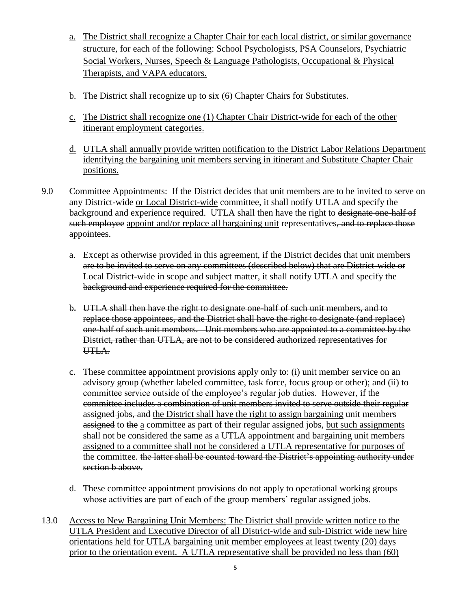- a. The District shall recognize a Chapter Chair for each local district, or similar governance structure, for each of the following: School Psychologists, PSA Counselors, Psychiatric Social Workers, Nurses, Speech & Language Pathologists, Occupational & Physical Therapists, and VAPA educators.
- b. The District shall recognize up to six (6) Chapter Chairs for Substitutes.
- c. The District shall recognize one (1) Chapter Chair District-wide for each of the other itinerant employment categories.
- d. UTLA shall annually provide written notification to the District Labor Relations Department identifying the bargaining unit members serving in itinerant and Substitute Chapter Chair positions.
- 9.0 Committee Appointments: If the District decides that unit members are to be invited to serve on any District-wide or Local District-wide committee, it shall notify UTLA and specify the background and experience required. UTLA shall then have the right to designate one-half of such employee appoint and/or replace all bargaining unit representatives, and to replace those appointees.
	- a. Except as otherwise provided in this agreement, if the District decides that unit members are to be invited to serve on any committees (described below) that are District-wide or Local District-wide in scope and subject matter, it shall notify UTLA and specify the background and experience required for the committee.
	- b. UTLA shall then have the right to designate one-half of such unit members, and to replace those appointees, and the District shall have the right to designate (and replace) one-half of such unit members. Unit members who are appointed to a committee by the District, rather than UTLA, are not to be considered authorized representatives for UTLA.
	- c. These committee appointment provisions apply only to: (i) unit member service on an advisory group (whether labeled committee, task force, focus group or other); and (ii) to committee service outside of the employee's regular job duties. However, if the committee includes a combination of unit members invited to serve outside their regular assigned jobs, and the District shall have the right to assign bargaining unit members assigned to the a committee as part of their regular assigned jobs, but such assignments shall not be considered the same as a UTLA appointment and bargaining unit members assigned to a committee shall not be considered a UTLA representative for purposes of the committee. the latter shall be counted toward the District's appointing authority under section **b** above.
	- d. These committee appointment provisions do not apply to operational working groups whose activities are part of each of the group members' regular assigned jobs.
- 13.0 Access to New Bargaining Unit Members: The District shall provide written notice to the UTLA President and Executive Director of all District-wide and sub-District wide new hire orientations held for UTLA bargaining unit member employees at least twenty (20) days prior to the orientation event. A UTLA representative shall be provided no less than (60)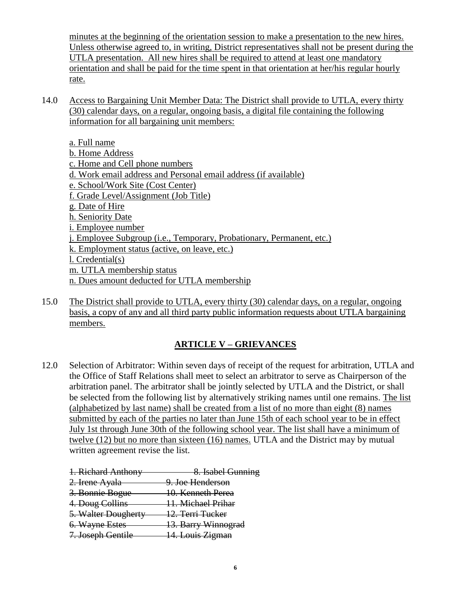minutes at the beginning of the orientation session to make a presentation to the new hires. Unless otherwise agreed to, in writing, District representatives shall not be present during the UTLA presentation. All new hires shall be required to attend at least one mandatory orientation and shall be paid for the time spent in that orientation at her/his regular hourly rate.

14.0 Access to Bargaining Unit Member Data: The District shall provide to UTLA, every thirty (30) calendar days, on a regular, ongoing basis, a digital file containing the following information for all bargaining unit members:

a. Full name b. Home Address c. Home and Cell phone numbers d. Work email address and Personal email address (if available) e. School/Work Site (Cost Center) f. Grade Level/Assignment (Job Title) g. Date of Hire h. Seniority Date i. Employee number j. Employee Subgroup (i.e., Temporary, Probationary, Permanent, etc.) k. Employment status (active, on leave, etc.) l. Credential(s) m. UTLA membership status n. Dues amount deducted for UTLA membership

15.0 The District shall provide to UTLA, every thirty (30) calendar days, on a regular, ongoing basis, a copy of any and all third party public information requests about UTLA bargaining members.

## **ARTICLE V – GRIEVANCES**

- 12.0 Selection of Arbitrator: Within seven days of receipt of the request for arbitration, UTLA and the Office of Staff Relations shall meet to select an arbitrator to serve as Chairperson of the arbitration panel. The arbitrator shall be jointly selected by UTLA and the District, or shall be selected from the following list by alternatively striking names until one remains. The list (alphabetized by last name) shall be created from a list of no more than eight (8) names submitted by each of the parties no later than June 15th of each school year to be in effect July 1st through June 30th of the following school year. The list shall have a minimum of twelve (12) but no more than sixteen (16) names. UTLA and the District may by mutual written agreement revise the list.
	- 1. Richard Anthony 8. Isabel Gunning 2. Irene Ayala **9. Joe Henderson** 3. Bonnie Bogue 10. Kenneth Perea 4. Doug Collins 11. Michael Prihar 5. Walter Dougherty 12. Terri Tucker 6. Wayne Estes 13. Barry Winnograd 7. Joseph Gentile 14. Louis Zigman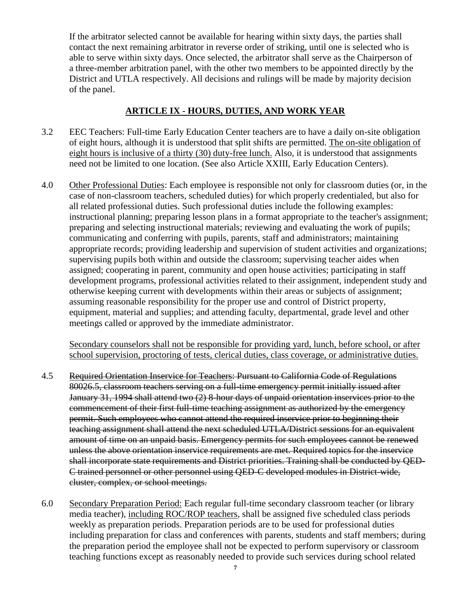If the arbitrator selected cannot be available for hearing within sixty days, the parties shall contact the next remaining arbitrator in reverse order of striking, until one is selected who is able to serve within sixty days. Once selected, the arbitrator shall serve as the Chairperson of a three-member arbitration panel, with the other two members to be appointed directly by the District and UTLA respectively. All decisions and rulings will be made by majority decision of the panel.

### **ARTICLE IX - HOURS, DUTIES, AND WORK YEAR**

- 3.2 EEC Teachers: Full-time Early Education Center teachers are to have a daily on-site obligation of eight hours, although it is understood that split shifts are permitted. The on-site obligation of eight hours is inclusive of a thirty (30) duty-free lunch. Also, it is understood that assignments need not be limited to one location. (See also Article XXIII, Early Education Centers).
- 4.0 Other Professional Duties: Each employee is responsible not only for classroom duties (or, in the case of non-classroom teachers, scheduled duties) for which properly credentialed, but also for all related professional duties. Such professional duties include the following examples: instructional planning; preparing lesson plans in a format appropriate to the teacher's assignment; preparing and selecting instructional materials; reviewing and evaluating the work of pupils; communicating and conferring with pupils, parents, staff and administrators; maintaining appropriate records; providing leadership and supervision of student activities and organizations; supervising pupils both within and outside the classroom; supervising teacher aides when assigned; cooperating in parent, community and open house activities; participating in staff development programs, professional activities related to their assignment, independent study and otherwise keeping current with developments within their areas or subjects of assignment; assuming reasonable responsibility for the proper use and control of District property, equipment, material and supplies; and attending faculty, departmental, grade level and other meetings called or approved by the immediate administrator.

Secondary counselors shall not be responsible for providing yard, lunch, before school, or after school supervision, proctoring of tests, clerical duties, class coverage, or administrative duties.

- 4.5 Required Orientation Inservice for Teachers: Pursuant to California Code of Regulations 80026.5, classroom teachers serving on a full-time emergency permit initially issued after January 31, 1994 shall attend two (2) 8-hour days of unpaid orientation inservices prior to the commencement of their first full-time teaching assignment as authorized by the emergency permit. Such employees who cannot attend the required inservice prior to beginning their teaching assignment shall attend the next scheduled UTLA/District sessions for an equivalent amount of time on an unpaid basis. Emergency permits for such employees cannot be renewed unless the above orientation inservice requirements are met. Required topics for the inservice shall incorporate state requirements and District priorities. Training shall be conducted by QED-C trained personnel or other personnel using QED-C developed modules in District-wide, cluster, complex, or school meetings.
- 6.0 Secondary Preparation Period: Each regular full-time secondary classroom teacher (or library media teacher), including ROC/ROP teachers, shall be assigned five scheduled class periods weekly as preparation periods. Preparation periods are to be used for professional duties including preparation for class and conferences with parents, students and staff members; during the preparation period the employee shall not be expected to perform supervisory or classroom teaching functions except as reasonably needed to provide such services during school related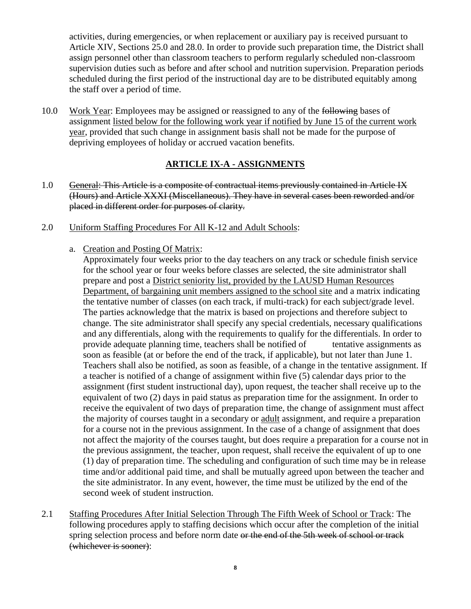activities, during emergencies, or when replacement or auxiliary pay is received pursuant to Article XIV, Sections 25.0 and 28.0. In order to provide such preparation time, the District shall assign personnel other than classroom teachers to perform regularly scheduled non-classroom supervision duties such as before and after school and nutrition supervision. Preparation periods scheduled during the first period of the instructional day are to be distributed equitably among the staff over a period of time.

10.0 Work Year: Employees may be assigned or reassigned to any of the following bases of assignment listed below for the following work year if notified by June 15 of the current work year, provided that such change in assignment basis shall not be made for the purpose of depriving employees of holiday or accrued vacation benefits.

### **ARTICLE IX-A - ASSIGNMENTS**

- 1.0 General: This Article is a composite of contractual items previously contained in Article IX (Hours) and Article XXXI (Miscellaneous). They have in several cases been reworded and/or placed in different order for purposes of clarity.
- 2.0 Uniform Staffing Procedures For All K-12 and Adult Schools:
	- a. Creation and Posting Of Matrix:

Approximately four weeks prior to the day teachers on any track or schedule finish service for the school year or four weeks before classes are selected, the site administrator shall prepare and post a District seniority list, provided by the LAUSD Human Resources Department, of bargaining unit members assigned to the school site and a matrix indicating the tentative number of classes (on each track, if multi-track) for each subject/grade level. The parties acknowledge that the matrix is based on projections and therefore subject to change. The site administrator shall specify any special credentials, necessary qualifications and any differentials, along with the requirements to qualify for the differentials. In order to provide adequate planning time, teachers shall be notified of tentative assignments as soon as feasible (at or before the end of the track, if applicable), but not later than June 1. Teachers shall also be notified, as soon as feasible, of a change in the tentative assignment. If a teacher is notified of a change of assignment within five (5) calendar days prior to the assignment (first student instructional day), upon request, the teacher shall receive up to the equivalent of two (2) days in paid status as preparation time for the assignment. In order to receive the equivalent of two days of preparation time, the change of assignment must affect the majority of courses taught in a secondary or adult assignment, and require a preparation for a course not in the previous assignment. In the case of a change of assignment that does not affect the majority of the courses taught, but does require a preparation for a course not in the previous assignment, the teacher, upon request, shall receive the equivalent of up to one (1) day of preparation time. The scheduling and configuration of such time may be in release time and/or additional paid time, and shall be mutually agreed upon between the teacher and the site administrator. In any event, however, the time must be utilized by the end of the second week of student instruction.

2.1 Staffing Procedures After Initial Selection Through The Fifth Week of School or Track: The following procedures apply to staffing decisions which occur after the completion of the initial spring selection process and before norm date or the end of the 5th week of school or track (whichever is sooner):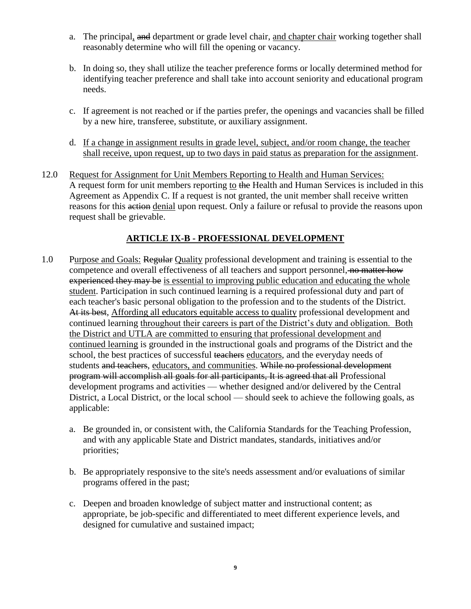- a. The principal, and department or grade level chair, and chapter chair working together shall reasonably determine who will fill the opening or vacancy.
- b. In doing so, they shall utilize the teacher preference forms or locally determined method for identifying teacher preference and shall take into account seniority and educational program needs.
- c. If agreement is not reached or if the parties prefer, the openings and vacancies shall be filled by a new hire, transferee, substitute, or auxiliary assignment.
- d. If a change in assignment results in grade level, subject, and/or room change, the teacher shall receive, upon request, up to two days in paid status as preparation for the assignment.
- 12.0 Request for Assignment for Unit Members Reporting to Health and Human Services: A request form for unit members reporting to the Health and Human Services is included in this Agreement as Appendix C. If a request is not granted, the unit member shall receive written reasons for this action denial upon request. Only a failure or refusal to provide the reasons upon request shall be grievable.

## **ARTICLE IX-B - PROFESSIONAL DEVELOPMENT**

- 1.0 Purpose and Goals: Regular Quality professional development and training is essential to the competence and overall effectiveness of all teachers and support personnel, no matter how experienced they may be is essential to improving public education and educating the whole student. Participation in such continued learning is a required professional duty and part of each teacher's basic personal obligation to the profession and to the students of the District. At its best, Affording all educators equitable access to quality professional development and continued learning throughout their careers is part of the District's duty and obligation. Both the District and UTLA are committed to ensuring that professional development and continued learning is grounded in the instructional goals and programs of the District and the school, the best practices of successful teachers educators, and the everyday needs of students and teachers, educators, and communities. While no professional development program will accomplish all goals for all participants, It is agreed that all Professional development programs and activities — whether designed and/or delivered by the Central District, a Local District, or the local school — should seek to achieve the following goals, as applicable:
	- a. Be grounded in, or consistent with, the California Standards for the Teaching Profession, and with any applicable State and District mandates, standards, initiatives and/or priorities;
	- b. Be appropriately responsive to the site's needs assessment and/or evaluations of similar programs offered in the past;
	- c. Deepen and broaden knowledge of subject matter and instructional content; as appropriate, be job-specific and differentiated to meet different experience levels, and designed for cumulative and sustained impact;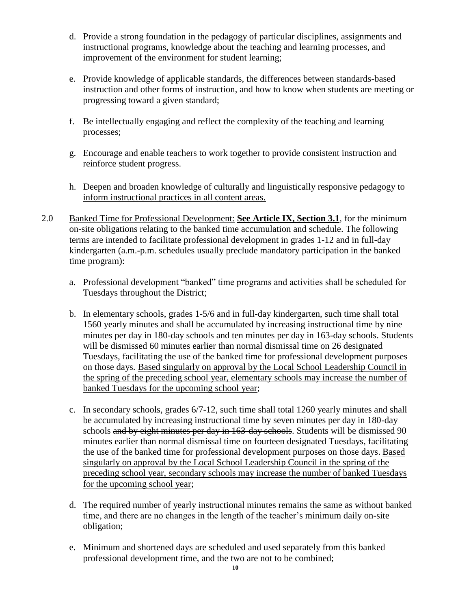- d. Provide a strong foundation in the pedagogy of particular disciplines, assignments and instructional programs, knowledge about the teaching and learning processes, and improvement of the environment for student learning;
- e. Provide knowledge of applicable standards, the differences between standards-based instruction and other forms of instruction, and how to know when students are meeting or progressing toward a given standard;
- f. Be intellectually engaging and reflect the complexity of the teaching and learning processes;
- g. Encourage and enable teachers to work together to provide consistent instruction and reinforce student progress.
- h. Deepen and broaden knowledge of culturally and linguistically responsive pedagogy to inform instructional practices in all content areas.
- 2.0 Banked Time for Professional Development: **See Article IX, Section 3.1**, for the minimum on-site obligations relating to the banked time accumulation and schedule. The following terms are intended to facilitate professional development in grades 1-12 and in full-day kindergarten (a.m.-p.m. schedules usually preclude mandatory participation in the banked time program):
	- a. Professional development "banked" time programs and activities shall be scheduled for Tuesdays throughout the District;
	- b. In elementary schools, grades 1-5/6 and in full-day kindergarten, such time shall total 1560 yearly minutes and shall be accumulated by increasing instructional time by nine minutes per day in 180-day schools and ten minutes per day in 163-day schools. Students will be dismissed 60 minutes earlier than normal dismissal time on 26 designated Tuesdays, facilitating the use of the banked time for professional development purposes on those days. Based singularly on approval by the Local School Leadership Council in the spring of the preceding school year, elementary schools may increase the number of banked Tuesdays for the upcoming school year;
	- c. In secondary schools, grades 6/7-12, such time shall total 1260 yearly minutes and shall be accumulated by increasing instructional time by seven minutes per day in 180-day schools and by eight minutes per day in 163-day schools. Students will be dismissed 90 minutes earlier than normal dismissal time on fourteen designated Tuesdays, facilitating the use of the banked time for professional development purposes on those days. Based singularly on approval by the Local School Leadership Council in the spring of the preceding school year, secondary schools may increase the number of banked Tuesdays for the upcoming school year;
	- d. The required number of yearly instructional minutes remains the same as without banked time, and there are no changes in the length of the teacher's minimum daily on-site obligation;
	- e. Minimum and shortened days are scheduled and used separately from this banked professional development time, and the two are not to be combined;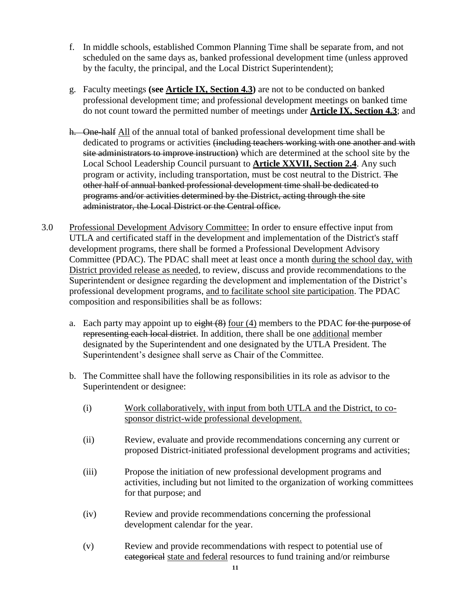- f. In middle schools, established Common Planning Time shall be separate from, and not scheduled on the same days as, banked professional development time (unless approved by the faculty, the principal, and the Local District Superintendent);
- g. Faculty meetings **(see Article IX, Section 4.3)** are not to be conducted on banked professional development time; and professional development meetings on banked time do not count toward the permitted number of meetings under **Article IX, Section 4.3**; and
- h. One half All of the annual total of banked professional development time shall be dedicated to programs or activities (including teachers working with one another and with site administrators to improve instruction) which are determined at the school site by the Local School Leadership Council pursuant to **Article XXVII, Section 2.4**. Any such program or activity, including transportation, must be cost neutral to the District. The other half of annual banked professional development time shall be dedicated to programs and/or activities determined by the District, acting through the site administrator, the Local District or the Central office.
- 3.0 Professional Development Advisory Committee: In order to ensure effective input from UTLA and certificated staff in the development and implementation of the District's staff development programs, there shall be formed a Professional Development Advisory Committee (PDAC). The PDAC shall meet at least once a month during the school day, with District provided release as needed, to review, discuss and provide recommendations to the Superintendent or designee regarding the development and implementation of the District's professional development programs, and to facilitate school site participation. The PDAC composition and responsibilities shall be as follows:
	- a. Each party may appoint up to  $\frac{e^{i\theta}}{2}$  four (4) members to the PDAC for the purpose of representing each local district. In addition, there shall be one additional member designated by the Superintendent and one designated by the UTLA President. The Superintendent's designee shall serve as Chair of the Committee.
	- b. The Committee shall have the following responsibilities in its role as advisor to the Superintendent or designee:
		- (i) Work collaboratively, with input from both UTLA and the District, to cosponsor district-wide professional development.
		- (ii) Review, evaluate and provide recommendations concerning any current or proposed District-initiated professional development programs and activities;
		- (iii) Propose the initiation of new professional development programs and activities, including but not limited to the organization of working committees for that purpose; and
		- (iv) Review and provide recommendations concerning the professional development calendar for the year.
		- (v) Review and provide recommendations with respect to potential use of categorical state and federal resources to fund training and/or reimburse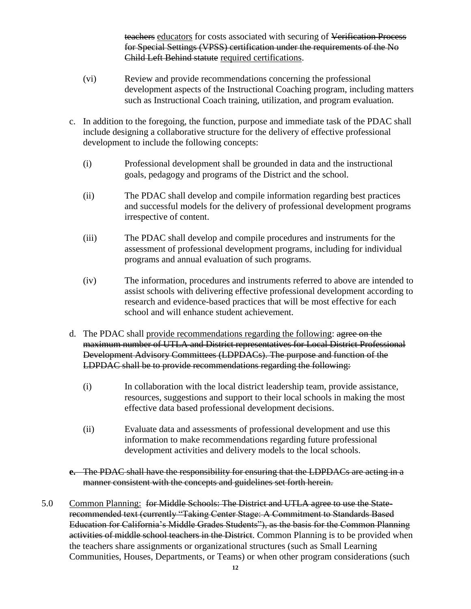teachers educators for costs associated with securing of Verification Process for Special Settings (VPSS) certification under the requirements of the No Child Left Behind statute required certifications.

- (vi) Review and provide recommendations concerning the professional development aspects of the Instructional Coaching program, including matters such as Instructional Coach training, utilization, and program evaluation.
- c. In addition to the foregoing, the function, purpose and immediate task of the PDAC shall include designing a collaborative structure for the delivery of effective professional development to include the following concepts:
	- (i) Professional development shall be grounded in data and the instructional goals, pedagogy and programs of the District and the school.
	- (ii) The PDAC shall develop and compile information regarding best practices and successful models for the delivery of professional development programs irrespective of content.
	- (iii) The PDAC shall develop and compile procedures and instruments for the assessment of professional development programs, including for individual programs and annual evaluation of such programs.
	- (iv) The information, procedures and instruments referred to above are intended to assist schools with delivering effective professional development according to research and evidence-based practices that will be most effective for each school and will enhance student achievement.
- d. The PDAC shall provide recommendations regarding the following: agree on the maximum number of UTLA and District representatives for Local District Professional Development Advisory Committees (LDPDACs). The purpose and function of the LDPDAC shall be to provide recommendations regarding the following:
	- (i) In collaboration with the local district leadership team, provide assistance, resources, suggestions and support to their local schools in making the most effective data based professional development decisions.
	- (ii) Evaluate data and assessments of professional development and use this information to make recommendations regarding future professional development activities and delivery models to the local schools.
- **e.** The PDAC shall have the responsibility for ensuring that the LDPDACs are acting in a manner consistent with the concepts and guidelines set forth herein.
- 5.0 Common Planning: for Middle Schools: The District and UTLA agree to use the Staterecommended text (currently "Taking Center Stage: A Commitment to Standards Based Education for California's Middle Grades Students"), as the basis for the Common Planning activities of middle school teachers in the District. Common Planning is to be provided when the teachers share assignments or organizational structures (such as Small Learning Communities, Houses, Departments, or Teams) or when other program considerations (such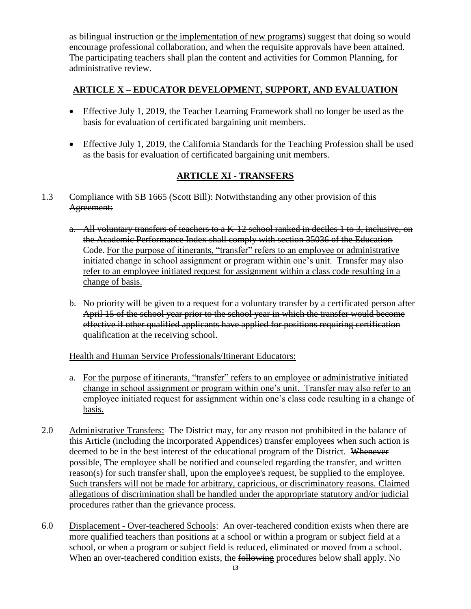as bilingual instruction or the implementation of new programs) suggest that doing so would encourage professional collaboration, and when the requisite approvals have been attained. The participating teachers shall plan the content and activities for Common Planning, for administrative review.

## **ARTICLE X – EDUCATOR DEVELOPMENT, SUPPORT, AND EVALUATION**

- Effective July 1, 2019, the Teacher Learning Framework shall no longer be used as the basis for evaluation of certificated bargaining unit members.
- Effective July 1, 2019, the California Standards for the Teaching Profession shall be used as the basis for evaluation of certificated bargaining unit members.

## **ARTICLE XI - TRANSFERS**

### 1.3 Compliance with SB 1665 (Scott Bill): Notwithstanding any other provision of this Agreement:

- a. All voluntary transfers of teachers to a K-12 school ranked in deciles 1 to 3, inclusive, on the Academic Performance Index shall comply with section 35036 of the Education Code. For the purpose of itinerants, "transfer" refers to an employee or administrative initiated change in school assignment or program within one's unit. Transfer may also refer to an employee initiated request for assignment within a class code resulting in a change of basis.
- b. No priority will be given to a request for a voluntary transfer by a certificated person after April 15 of the school year prior to the school year in which the transfer would become effective if other qualified applicants have applied for positions requiring certification qualification at the receiving school.

### Health and Human Service Professionals/Itinerant Educators:

- a. For the purpose of itinerants, "transfer" refers to an employee or administrative initiated change in school assignment or program within one's unit. Transfer may also refer to an employee initiated request for assignment within one's class code resulting in a change of basis.
- 2.0 Administrative Transfers: The District may, for any reason not prohibited in the balance of this Article (including the incorporated Appendices) transfer employees when such action is deemed to be in the best interest of the educational program of the District. Whenever possible, The employee shall be notified and counseled regarding the transfer, and written reason(s) for such transfer shall, upon the employee's request, be supplied to the employee. Such transfers will not be made for arbitrary, capricious, or discriminatory reasons. Claimed allegations of discrimination shall be handled under the appropriate statutory and/or judicial procedures rather than the grievance process.
- 6.0 Displacement Over-teachered Schools: An over-teachered condition exists when there are more qualified teachers than positions at a school or within a program or subject field at a school, or when a program or subject field is reduced, eliminated or moved from a school. When an over-teachered condition exists, the following procedures below shall apply. No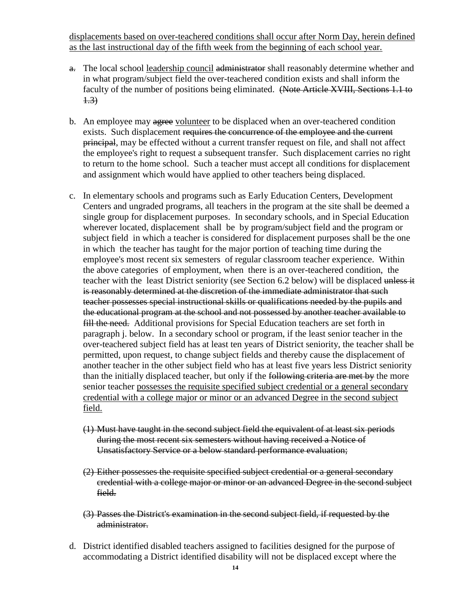displacements based on over-teachered conditions shall occur after Norm Day, herein defined as the last instructional day of the fifth week from the beginning of each school year.

- a. The local school leadership council administrator shall reasonably determine whether and in what program/subject field the over-teachered condition exists and shall inform the faculty of the number of positions being eliminated. (Note Article XVIII, Sections 1.1 to  $+3)$
- b. An employee may agree volunteer to be displaced when an over-teachered condition exists. Such displacement requires the concurrence of the employee and the current principal, may be effected without a current transfer request on file, and shall not affect the employee's right to request a subsequent transfer. Such displacement carries no right to return to the home school. Such a teacher must accept all conditions for displacement and assignment which would have applied to other teachers being displaced.
- c. In elementary schools and programs such as Early Education Centers, Development Centers and ungraded programs, all teachers in the program at the site shall be deemed a single group for displacement purposes. In secondary schools, and in Special Education wherever located, displacement shall be by program/subject field and the program or subject field in which a teacher is considered for displacement purposes shall be the one in which the teacher has taught for the major portion of teaching time during the employee's most recent six semesters of regular classroom teacher experience. Within the above categories of employment, when there is an over-teachered condition, the teacher with the least District seniority (see Section 6.2 below) will be displaced unless it is reasonably determined at the discretion of the immediate administrator that such teacher possesses special instructional skills or qualifications needed by the pupils and the educational program at the school and not possessed by another teacher available to fill the need. Additional provisions for Special Education teachers are set forth in paragraph j. below. In a secondary school or program, if the least senior teacher in the over-teachered subject field has at least ten years of District seniority, the teacher shall be permitted, upon request, to change subject fields and thereby cause the displacement of another teacher in the other subject field who has at least five years less District seniority than the initially displaced teacher, but only if the following criteria are met by the more senior teacher possesses the requisite specified subject credential or a general secondary credential with a college major or minor or an advanced Degree in the second subject field.
	- (1) Must have taught in the second subject field the equivalent of at least six periods during the most recent six semesters without having received a Notice of Unsatisfactory Service or a below standard performance evaluation;
	- (2) Either possesses the requisite specified subject credential or a general secondary credential with a college major or minor or an advanced Degree in the second subject field.
	- (3) Passes the District's examination in the second subject field, if requested by the administrator.
- d. District identified disabled teachers assigned to facilities designed for the purpose of accommodating a District identified disability will not be displaced except where the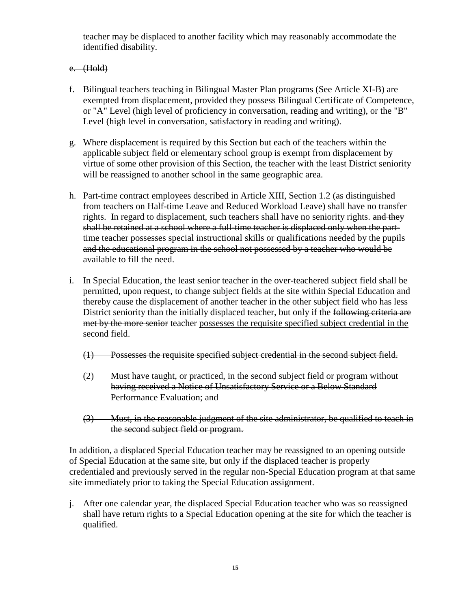teacher may be displaced to another facility which may reasonably accommodate the identified disability.

### e. (Hold)

- f. Bilingual teachers teaching in Bilingual Master Plan programs (See Article XI-B) are exempted from displacement, provided they possess Bilingual Certificate of Competence, or "A" Level (high level of proficiency in conversation, reading and writing), or the "B" Level (high level in conversation, satisfactory in reading and writing).
- g. Where displacement is required by this Section but each of the teachers within the applicable subject field or elementary school group is exempt from displacement by virtue of some other provision of this Section, the teacher with the least District seniority will be reassigned to another school in the same geographic area.
- h. Part-time contract employees described in Article XIII, Section 1.2 (as distinguished from teachers on Half-time Leave and Reduced Workload Leave) shall have no transfer rights. In regard to displacement, such teachers shall have no seniority rights. and they shall be retained at a school where a full-time teacher is displaced only when the parttime teacher possesses special instructional skills or qualifications needed by the pupils and the educational program in the school not possessed by a teacher who would be available to fill the need.
- i. In Special Education, the least senior teacher in the over-teachered subject field shall be permitted, upon request, to change subject fields at the site within Special Education and thereby cause the displacement of another teacher in the other subject field who has less District seniority than the initially displaced teacher, but only if the following criteria are met by the more senior teacher possesses the requisite specified subject credential in the second field.
	- (1) Possesses the requisite specified subject credential in the second subject field.
	- (2) Must have taught, or practiced, in the second subject field or program without having received a Notice of Unsatisfactory Service or a Below Standard Performance Evaluation; and
	- (3) Must, in the reasonable judgment of the site administrator, be qualified to teach in the second subject field or program.

In addition, a displaced Special Education teacher may be reassigned to an opening outside of Special Education at the same site, but only if the displaced teacher is properly credentialed and previously served in the regular non-Special Education program at that same site immediately prior to taking the Special Education assignment.

j. After one calendar year, the displaced Special Education teacher who was so reassigned shall have return rights to a Special Education opening at the site for which the teacher is qualified.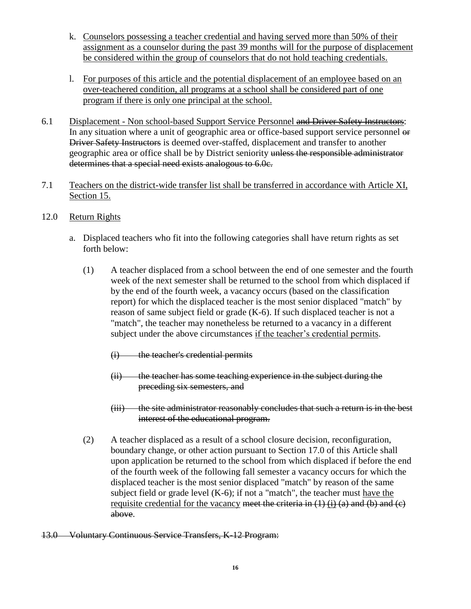- k. Counselors possessing a teacher credential and having served more than 50% of their assignment as a counselor during the past 39 months will for the purpose of displacement be considered within the group of counselors that do not hold teaching credentials.
- l. For purposes of this article and the potential displacement of an employee based on an over-teachered condition, all programs at a school shall be considered part of one program if there is only one principal at the school.
- 6.1 Displacement Non school-based Support Service Personnel and Driver Safety Instructors: In any situation where a unit of geographic area or office-based support service personnel or Driver Safety Instructors is deemed over-staffed, displacement and transfer to another geographic area or office shall be by District seniority unless the responsible administrator determines that a special need exists analogous to 6.0e.
- 7.1 Teachers on the district-wide transfer list shall be transferred in accordance with Article XI, Section 15.
- 12.0 Return Rights
	- a. Displaced teachers who fit into the following categories shall have return rights as set forth below:
		- (1) A teacher displaced from a school between the end of one semester and the fourth week of the next semester shall be returned to the school from which displaced if by the end of the fourth week, a vacancy occurs (based on the classification report) for which the displaced teacher is the most senior displaced "match" by reason of same subject field or grade (K-6). If such displaced teacher is not a "match", the teacher may nonetheless be returned to a vacancy in a different subject under the above circumstances if the teacher's credential permits.
			- $(i)$  the teacher's credential permits
			- (ii) the teacher has some teaching experience in the subject during the preceding six semesters, and
			- (iii) the site administrator reasonably concludes that such a return is in the best interest of the educational program.
		- (2) A teacher displaced as a result of a school closure decision, reconfiguration, boundary change, or other action pursuant to Section 17.0 of this Article shall upon application be returned to the school from which displaced if before the end of the fourth week of the following fall semester a vacancy occurs for which the displaced teacher is the most senior displaced "match" by reason of the same subject field or grade level  $(K-6)$ ; if not a "match", the teacher must have the requisite credential for the vacancy meet the criteria in  $(1)$   $(i)$   $(a)$  and  $(b)$  and  $(e)$ above.

13.0 Voluntary Continuous Service Transfers, K-12 Program: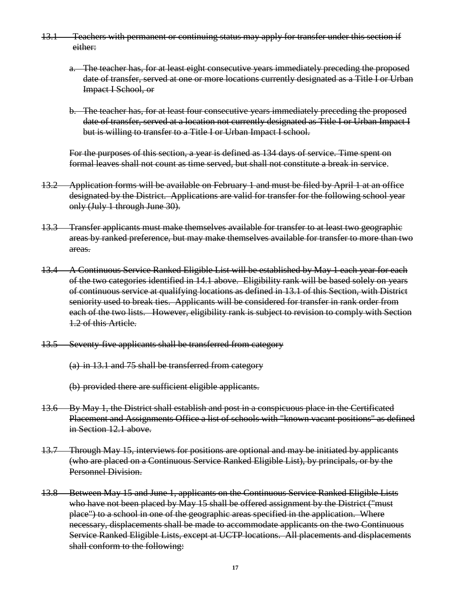- 13.1 Teachers with permanent or continuing status may apply for transfer under this section if either:
	- a. The teacher has, for at least eight consecutive years immediately preceding the proposed date of transfer, served at one or more locations currently designated as a Title I or Urban Impact I School, or
	- b. The teacher has, for at least four consecutive years immediately preceding the proposed date of transfer, served at a location not currently designated as Title I or Urban Impact I but is willing to transfer to a Title I or Urban Impact I school.

For the purposes of this section, a year is defined as 134 days of service. Time spent on formal leaves shall not count as time served, but shall not constitute a break in service.

- 13.2 Application forms will be available on February 1 and must be filed by April 1 at an office designated by the District. Applications are valid for transfer for the following school year only (July 1 through June 30).
- 13.3 Transfer applicants must make themselves available for transfer to at least two geographic areas by ranked preference, but may make themselves available for transfer to more than two areas.
- 13.4 A Continuous Service Ranked Eligible List will be established by May 1 each year for each of the two categories identified in 14.1 above. Eligibility rank will be based solely on years of continuous service at qualifying locations as defined in 13.1 of this Section, with District seniority used to break ties. Applicants will be considered for transfer in rank order from each of the two lists. However, eligibility rank is subject to revision to comply with Section 1.2 of this Article.
- 13.5 Seventy-five applicants shall be transferred from category
	- (a) in 13.1 and 75 shall be transferred from category
	- (b) provided there are sufficient eligible applicants.
- 13.6 By May 1, the District shall establish and post in a conspicuous place in the Certificated Placement and Assignments Office a list of schools with "known vacant positions" as defined in Section 12.1 above.
- 13.7 Through May 15, interviews for positions are optional and may be initiated by applicants (who are placed on a Continuous Service Ranked Eligible List), by principals, or by the Personnel Division.
- 13.8 Between May 15 and June 1, applicants on the Continuous Service Ranked Eligible Lists who have not been placed by May 15 shall be offered assignment by the District ("must place") to a school in one of the geographic areas specified in the application. Where necessary, displacements shall be made to accommodate applicants on the two Continuous Service Ranked Eligible Lists, except at UCTP locations. All placements and displacements shall conform to the following: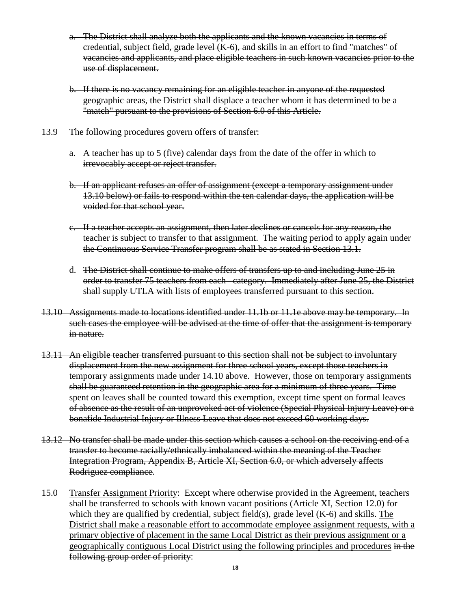- a. The District shall analyze both the applicants and the known vacancies in terms of  $c$  eredential, subject field, grade level  $(K-6)$ , and skills in an effort to find "matches" of vacancies and applicants, and place eligible teachers in such known vacancies prior to the use of displacement.
- b. If there is no vacancy remaining for an eligible teacher in anyone of the requested geographic areas, the District shall displace a teacher whom it has determined to be a "match" pursuant to the provisions of Section 6.0 of this Article.
- 13.9 The following procedures govern offers of transfer:
	- a. A teacher has up to 5 (five) calendar days from the date of the offer in which to irrevocably accept or reject transfer.
	- b. If an applicant refuses an offer of assignment (except a temporary assignment under 13.10 below) or fails to respond within the ten calendar days, the application will be voided for that school year.
	- c. If a teacher accepts an assignment, then later declines or cancels for any reason, the teacher is subject to transfer to that assignment. The waiting period to apply again under the Continuous Service Transfer program shall be as stated in Section 13.1.
	- d. The District shall continue to make offers of transfers up to and including June 25 in order to transfer 75 teachers from each category. Immediately after June 25, the District shall supply UTLA with lists of employees transferred pursuant to this section.
- 13.10 Assignments made to locations identified under 11.1b or 11.1e above may be temporary. In such cases the employee will be advised at the time of offer that the assignment is temporary in nature.
- 13.11 An eligible teacher transferred pursuant to this section shall not be subject to involuntary displacement from the new assignment for three school years, except those teachers in temporary assignments made under 14.10 above. However, those on temporary assignments shall be guaranteed retention in the geographic area for a minimum of three years. Time spent on leaves shall be counted toward this exemption, except time spent on formal leaves of absence as the result of an unprovoked act of violence (Special Physical Injury Leave) or a bonafide Industrial Injury or Illness Leave that does not exceed 60 working days.
- 13.12 No transfer shall be made under this section which causes a school on the receiving end of a transfer to become racially/ethnically imbalanced within the meaning of the Teacher Integration Program, Appendix B, Article XI, Section 6.0, or which adversely affects Rodriguez compliance.
- 15.0 Transfer Assignment Priority: Except where otherwise provided in the Agreement, teachers shall be transferred to schools with known vacant positions (Article XI, Section 12.0) for which they are qualified by credential, subject field(s), grade level  $(K-6)$  and skills. The District shall make a reasonable effort to accommodate employee assignment requests, with a primary objective of placement in the same Local District as their previous assignment or a geographically contiguous Local District using the following principles and procedures in the following group order of priority: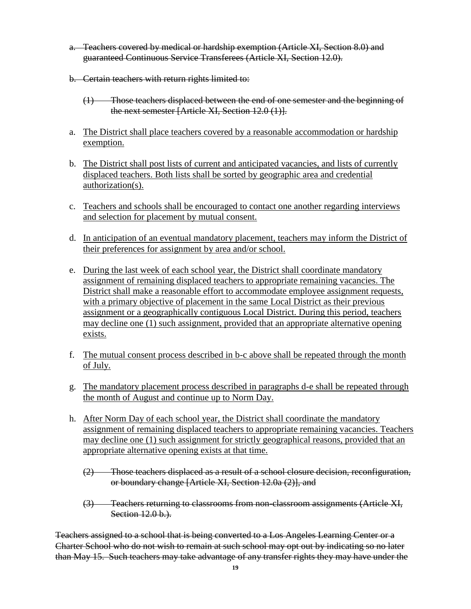- a. Teachers covered by medical or hardship exemption (Article XI, Section 8.0) and guaranteed Continuous Service Transferees (Article XI, Section 12.0).
- b. Certain teachers with return rights limited to:
	- (1) Those teachers displaced between the end of one semester and the beginning of the next semester [Article XI, Section 12.0 (1)].
- a. The District shall place teachers covered by a reasonable accommodation or hardship exemption.
- b. The District shall post lists of current and anticipated vacancies, and lists of currently displaced teachers. Both lists shall be sorted by geographic area and credential authorization(s).
- c. Teachers and schools shall be encouraged to contact one another regarding interviews and selection for placement by mutual consent.
- d. In anticipation of an eventual mandatory placement, teachers may inform the District of their preferences for assignment by area and/or school.
- e. During the last week of each school year, the District shall coordinate mandatory assignment of remaining displaced teachers to appropriate remaining vacancies. The District shall make a reasonable effort to accommodate employee assignment requests, with a primary objective of placement in the same Local District as their previous assignment or a geographically contiguous Local District. During this period, teachers may decline one (1) such assignment, provided that an appropriate alternative opening exists.
- f. The mutual consent process described in b-c above shall be repeated through the month of July.
- g. The mandatory placement process described in paragraphs d-e shall be repeated through the month of August and continue up to Norm Day.
- h. After Norm Day of each school year, the District shall coordinate the mandatory assignment of remaining displaced teachers to appropriate remaining vacancies. Teachers may decline one (1) such assignment for strictly geographical reasons, provided that an appropriate alternative opening exists at that time.
	- (2) Those teachers displaced as a result of a school closure decision, reconfiguration, or boundary change [Article XI, Section 12.0a (2)], and
	- (3) Teachers returning to classrooms from non-classroom assignments (Article XI, Section 12.0 b.).

Teachers assigned to a school that is being converted to a Los Angeles Learning Center or a Charter School who do not wish to remain at such school may opt out by indicating so no later than May 15. Such teachers may take advantage of any transfer rights they may have under the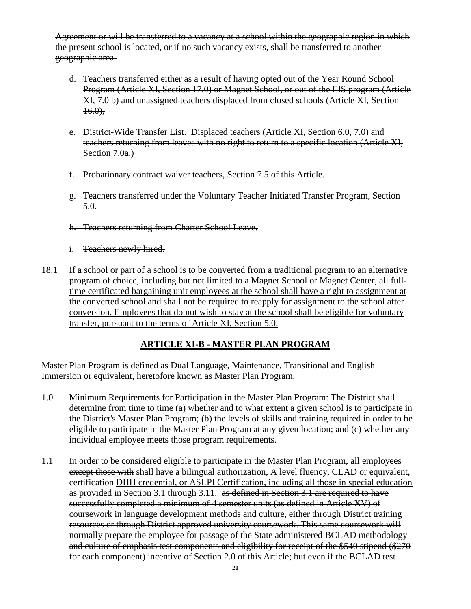Agreement or will be transferred to a vacancy at a school within the geographic region in which the present school is located, or if no such vacancy exists, shall be transferred to another geographic area.

- d. Teachers transferred either as a result of having opted out of the Year Round School Program (Article XI, Section 17.0) or Magnet School, or out of the EIS program (Article XI, 7.0 b) and unassigned teachers displaced from closed schools (Article XI, Section  $16.0$
- e. District-Wide Transfer List. Displaced teachers (Article XI, Section 6.0, 7.0) and teachers returning from leaves with no right to return to a specific location (Article XI, Section 7.0a.)
- f. Probationary contract waiver teachers, Section 7.5 of this Article.
- g. Teachers transferred under the Voluntary Teacher Initiated Transfer Program, Section 5.0.
- h. Teachers returning from Charter School Leave.
- i. Teachers newly hired.
- 18.1 If a school or part of a school is to be converted from a traditional program to an alternative program of choice, including but not limited to a Magnet School or Magnet Center, all fulltime certificated bargaining unit employees at the school shall have a right to assignment at the converted school and shall not be required to reapply for assignment to the school after conversion. Employees that do not wish to stay at the school shall be eligible for voluntary transfer, pursuant to the terms of Article XI, Section 5.0.

## **ARTICLE XI-B - MASTER PLAN PROGRAM**

Master Plan Program is defined as Dual Language, Maintenance, Transitional and English Immersion or equivalent, heretofore known as Master Plan Program.

- 1.0 Minimum Requirements for Participation in the Master Plan Program: The District shall determine from time to time (a) whether and to what extent a given school is to participate in the District's Master Plan Program; (b) the levels of skills and training required in order to be eligible to participate in the Master Plan Program at any given location; and (c) whether any individual employee meets those program requirements.
- 1.1 In order to be considered eligible to participate in the Master Plan Program, all employees except those with shall have a bilingual authorization, A level fluency, CLAD or equivalent, certification DHH credential, or ASLPI Certification, including all those in special education as provided in Section 3.1 through 3.11. as defined in Section 3.1 are required to have successfully completed a minimum of 4 semester units (as defined in Article XV) of coursework in language development methods and culture, either through District training resources or through District approved university coursework. This same coursework will normally prepare the employee for passage of the State administered BCLAD methodology and culture of emphasis test components and eligibility for receipt of the \$540 stipend (\$270 for each component) incentive of Section 2.0 of this Article; but even if the BCLAD test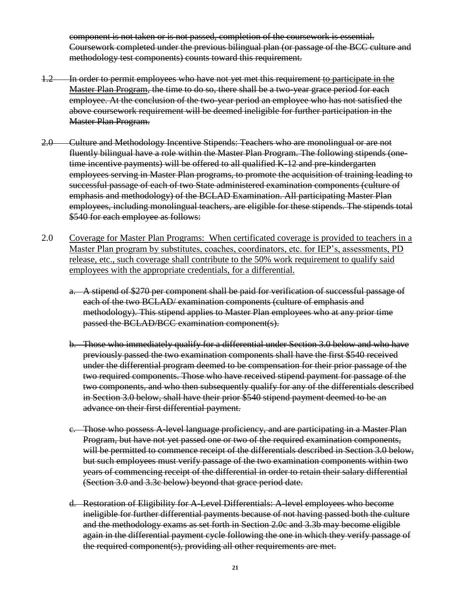component is not taken or is not passed, completion of the coursework is essential. Coursework completed under the previous bilingual plan (or passage of the BCC culture and methodology test components) counts toward this requirement.

- 1.2 In order to permit employees who have not yet met this requirement to participate in the Master Plan Program, the time to do so, there shall be a two-year grace period for each employee. At the conclusion of the two-year period an employee who has not satisfied the above coursework requirement will be deemed ineligible for further participation in the Master Plan Program.
- 2.0 Culture and Methodology Incentive Stipends: Teachers who are monolingual or are not fluently bilingual have a role within the Master Plan Program. The following stipends (onetime incentive payments) will be offered to all qualified K-12 and pre-kindergarten employees serving in Master Plan programs, to promote the acquisition of training leading to successful passage of each of two State administered examination components (culture of emphasis and methodology) of the BCLAD Examination. All participating Master Plan employees, including monolingual teachers, are eligible for these stipends. The stipends total \$540 for each employee as follows:
- 2.0 Coverage for Master Plan Programs: When certificated coverage is provided to teachers in a Master Plan program by substitutes, coaches, coordinators, etc. for IEP's, assessments, PD release, etc., such coverage shall contribute to the 50% work requirement to qualify said employees with the appropriate credentials, for a differential.
	- a. A stipend of \$270 per component shall be paid for verification of successful passage of each of the two BCLAD/ examination components (culture of emphasis and methodology). This stipend applies to Master Plan employees who at any prior time passed the BCLAD/BCC examination component(s).
	- b. Those who immediately qualify for a differential under Section 3.0 below and who have previously passed the two examination components shall have the first \$540 received under the differential program deemed to be compensation for their prior passage of the two required components. Those who have received stipend payment for passage of the two components, and who then subsequently qualify for any of the differentials described in Section 3.0 below, shall have their prior \$540 stipend payment deemed to be an advance on their first differential payment.
	- c. Those who possess A-level language proficiency, and are participating in a Master Plan Program, but have not yet passed one or two of the required examination components, will be permitted to commence receipt of the differentials described in Section 3.0 below, but such employees must verify passage of the two examination components within two years of commencing receipt of the differential in order to retain their salary differential (Section 3.0 and 3.3c below) beyond that grace period date.
	- d. Restoration of Eligibility for A-Level Differentials: A-level employees who become ineligible for further differential payments because of not having passed both the culture and the methodology exams as set forth in Section 2.0c and 3.3b may become eligible again in the differential payment cycle following the one in which they verify passage of the required component(s), providing all other requirements are met.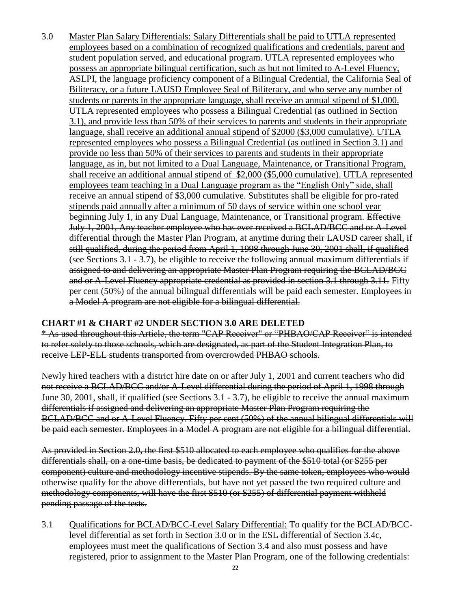3.0 Master Plan Salary Differentials: Salary Differentials shall be paid to UTLA represented employees based on a combination of recognized qualifications and credentials, parent and student population served, and educational program. UTLA represented employees who possess an appropriate bilingual certification, such as but not limited to A-Level Fluency, ASLPI, the language proficiency component of a Bilingual Credential, the California Seal of Biliteracy, or a future LAUSD Employee Seal of Biliteracy, and who serve any number of students or parents in the appropriate language, shall receive an annual stipend of \$1,000. UTLA represented employees who possess a Bilingual Credential (as outlined in Section 3.1), and provide less than 50% of their services to parents and students in their appropriate language, shall receive an additional annual stipend of \$2000 (\$3,000 cumulative). UTLA represented employees who possess a Bilingual Credential (as outlined in Section 3.1) and provide no less than 50% of their services to parents and students in their appropriate language, as in, but not limited to a Dual Language, Maintenance, or Transitional Program, shall receive an additional annual stipend of \$2,000 (\$5,000 cumulative). UTLA represented employees team teaching in a Dual Language program as the "English Only" side, shall receive an annual stipend of \$3,000 cumulative. Substitutes shall be eligible for pro-rated stipends paid annually after a minimum of 50 days of service within one school year beginning July 1, in any Dual Language, Maintenance, or Transitional program. Effective July 1, 2001, Any teacher employee who has ever received a BCLAD/BCC and or A-Level differential through the Master Plan Program, at anytime during their LAUSD career shall, if still qualified, during the period from April 1, 1998 through June 30, 2001 shall, if qualified (see Sections 3.1 - 3.7), be eligible to receive the following annual maximum differentials if assigned to and delivering an appropriate Master Plan Program requiring the BCLAD/BCC and or A-Level Fluency appropriate credential as provided in section 3.1 through 3.11. Fifty per cent (50%) of the annual bilingual differentials will be paid each semester. Employees in a Model A program are not eligible for a bilingual differential.

### **CHART #1 & CHART #2 UNDER SECTION 3.0 ARE DELETED**

\* As used throughout this Article, the term "CAP Receiver" or "PHBAO/CAP Receiver" is intended to refer solely to those schools, which are designated, as part of the Student Integration Plan, to receive LEP-ELL students transported from overcrowded PHBAO schools.

Newly hired teachers with a district hire date on or after July 1, 2001 and current teachers who did not receive a BCLAD/BCC and/or A-Level differential during the period of April 1, 1998 through June 30, 2001, shall, if qualified (see Sections 3.1 - 3.7), be eligible to receive the annual maximum differentials if assigned and delivering an appropriate Master Plan Program requiring the BCLAD/BCC and or A-Level Fluency. Fifty per cent (50%) of the annual bilingual differentials will be paid each semester. Employees in a Model A program are not eligible for a bilingual differential.

As provided in Section 2.0, the first \$510 allocated to each employee who qualifies for the above differentials shall, on a one-time basis, be dedicated to payment of the \$510 total (or \$255 per component) culture and methodology incentive stipends. By the same token, employees who would otherwise qualify for the above differentials, but have not yet passed the two required culture and methodology components, will have the first \$510 (or \$255) of differential payment withheld pending passage of the tests.

3.1 Qualifications for BCLAD/BCC-Level Salary Differential: To qualify for the BCLAD/BCClevel differential as set forth in Section 3.0 or in the ESL differential of Section 3.4c, employees must meet the qualifications of Section 3.4 and also must possess and have registered, prior to assignment to the Master Plan Program, one of the following credentials: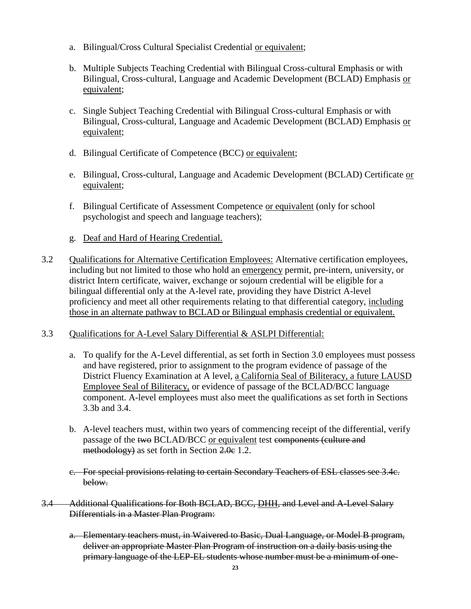- a. Bilingual/Cross Cultural Specialist Credential or equivalent;
- b. Multiple Subjects Teaching Credential with Bilingual Cross-cultural Emphasis or with Bilingual, Cross-cultural, Language and Academic Development (BCLAD) Emphasis or equivalent;
- c. Single Subject Teaching Credential with Bilingual Cross-cultural Emphasis or with Bilingual, Cross-cultural, Language and Academic Development (BCLAD) Emphasis or equivalent;
- d. Bilingual Certificate of Competence (BCC) or equivalent;
- e. Bilingual, Cross-cultural, Language and Academic Development (BCLAD) Certificate or equivalent;
- f. Bilingual Certificate of Assessment Competence or equivalent (only for school psychologist and speech and language teachers);
- g. Deaf and Hard of Hearing Credential.
- 3.2 Qualifications for Alternative Certification Employees: Alternative certification employees, including but not limited to those who hold an emergency permit, pre-intern, university, or district Intern certificate, waiver, exchange or sojourn credential will be eligible for a bilingual differential only at the A-level rate, providing they have District A-level proficiency and meet all other requirements relating to that differential category, including those in an alternate pathway to BCLAD or Bilingual emphasis credential or equivalent.
- 3.3 Qualifications for A-Level Salary Differential & ASLPI Differential:
	- a. To qualify for the A-Level differential, as set forth in Section 3.0 employees must possess and have registered, prior to assignment to the program evidence of passage of the District Fluency Examination at A level, a California Seal of Biliteracy, a future LAUSD Employee Seal of Biliteracy, or evidence of passage of the BCLAD/BCC language component. A-level employees must also meet the qualifications as set forth in Sections 3.3b and 3.4.
	- b. A-level teachers must, within two years of commencing receipt of the differential, verify passage of the two BCLAD/BCC or equivalent test components (culture and methodology) as set forth in Section 2.0e 1.2.
	- c. For special provisions relating to certain Secondary Teachers of ESL classes see 3.4c. below.
- 3.4 Additional Qualifications for Both BCLAD, BCC, DHH, and Level and A-Level Salary Differentials in a Master Plan Program:
	- a. Elementary teachers must, in Waivered to Basic, Dual Language, or Model B program, deliver an appropriate Master Plan Program of instruction on a daily basis using the primary language of the LEP-EL students whose number must be a minimum of one-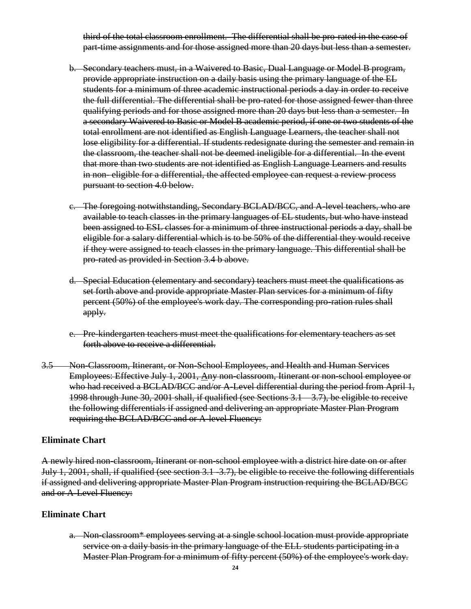third of the total classroom enrollment. The differential shall be pro-rated in the case of part-time assignments and for those assigned more than 20 days but less than a semester.

- b. Secondary teachers must, in a Waivered to Basic, Dual Language or Model B program, provide appropriate instruction on a daily basis using the primary language of the EL students for a minimum of three academic instructional periods a day in order to receive the full differential. The differential shall be pro-rated for those assigned fewer than three qualifying periods and for those assigned more than 20 days but less than a semester. In a secondary Waivered to Basic or Model B academic period, if one or two students of the total enrollment are not identified as English Language Learners, the teacher shall not lose eligibility for a differential. If students redesignate during the semester and remain in the classroom, the teacher shall not be deemed ineligible for a differential. In the event that more than two students are not identified as English Language Learners and results in non- eligible for a differential, the affected employee can request a review process pursuant to section 4.0 below.
- c. The foregoing notwithstanding, Secondary BCLAD/BCC, and A-level teachers, who are available to teach classes in the primary languages of EL students, but who have instead been assigned to ESL classes for a minimum of three instructional periods a day, shall be eligible for a salary differential which is to be 50% of the differential they would receive if they were assigned to teach classes in the primary language. This differential shall be pro-rated as provided in Section 3.4 b above.
- d. Special Education (elementary and secondary) teachers must meet the qualifications as set forth above and provide appropriate Master Plan services for a minimum of fifty percent (50%) of the employee's work day. The corresponding pro-ration rules shall apply.
- e. Pre-kindergarten teachers must meet the qualifications for elementary teachers as set forth above to receive a differential.
- 3.5 Non-Classroom, Itinerant, or Non-School Employees, and Health and Human Services Employees: Effective July 1, 2001, Any non-classroom, Itinerant or non-school employee or who had received a BCLAD/BCC and/or A-Level differential during the period from April 1, 1998 through June 30, 2001 shall, if qualified (see Sections 3.1 – 3.7), be eligible to receive the following differentials if assigned and delivering an appropriate Master Plan Program requiring the BCLAD/BCC and or A-level Fluency:

### **Eliminate Chart**

A newly hired non-classroom, Itinerant or non-school employee with a district hire date on or after July 1, 2001, shall, if qualified (see section 3.1 -3.7), be eligible to receive the following differentials if assigned and delivering appropriate Master Plan Program instruction requiring the BCLAD/BCC and or A-Level Fluency:

### **Eliminate Chart**

a. Non-classroom\* employees serving at a single school location must provide appropriate service on a daily basis in the primary language of the ELL students participating in a Master Plan Program for a minimum of fifty percent (50%) of the employee's work day.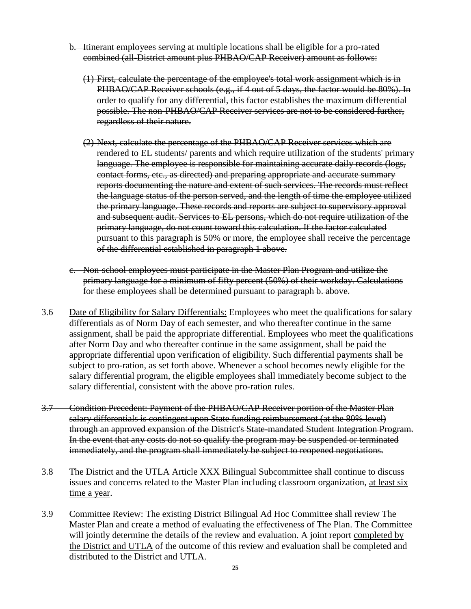- b. Itinerant employees serving at multiple locations shall be eligible for a pro-rated combined (all-District amount plus PHBAO/CAP Receiver) amount as follows:
	- (1) First, calculate the percentage of the employee's total work assignment which is in PHBAO/CAP Receiver schools (e.g., if 4 out of 5 days, the factor would be 80%). In order to qualify for any differential, this factor establishes the maximum differential possible. The non-PHBAO/CAP Receiver services are not to be considered further, regardless of their nature.
	- (2) Next, calculate the percentage of the PHBAO/CAP Receiver services which are rendered to EL students/ parents and which require utilization of the students' primary language. The employee is responsible for maintaining accurate daily records (logs, contact forms, etc., as directed) and preparing appropriate and accurate summary reports documenting the nature and extent of such services. The records must reflect the language status of the person served, and the length of time the employee utilized the primary language. These records and reports are subject to supervisory approval and subsequent audit. Services to EL persons, which do not require utilization of the primary language, do not count toward this calculation. If the factor calculated pursuant to this paragraph is 50% or more, the employee shall receive the percentage of the differential established in paragraph 1 above.
- c. Non-school employees must participate in the Master Plan Program and utilize the primary language for a minimum of fifty percent (50%) of their workday. Calculations for these employees shall be determined pursuant to paragraph b. above.
- 3.6 Date of Eligibility for Salary Differentials: Employees who meet the qualifications for salary differentials as of Norm Day of each semester, and who thereafter continue in the same assignment, shall be paid the appropriate differential. Employees who meet the qualifications after Norm Day and who thereafter continue in the same assignment, shall be paid the appropriate differential upon verification of eligibility. Such differential payments shall be subject to pro-ration, as set forth above. Whenever a school becomes newly eligible for the salary differential program, the eligible employees shall immediately become subject to the salary differential, consistent with the above pro-ration rules.
- 3.7 Condition Precedent: Payment of the PHBAO/CAP Receiver portion of the Master Plan salary differentials is contingent upon State funding reimbursement (at the 80% level) through an approved expansion of the District's State-mandated Student Integration Program. In the event that any costs do not so qualify the program may be suspended or terminated immediately, and the program shall immediately be subject to reopened negotiations.
- 3.8 The District and the UTLA Article XXX Bilingual Subcommittee shall continue to discuss issues and concerns related to the Master Plan including classroom organization, at least six time a year.
- 3.9 Committee Review: The existing District Bilingual Ad Hoc Committee shall review The Master Plan and create a method of evaluating the effectiveness of The Plan. The Committee will jointly determine the details of the review and evaluation. A joint report completed by the District and UTLA of the outcome of this review and evaluation shall be completed and distributed to the District and UTLA.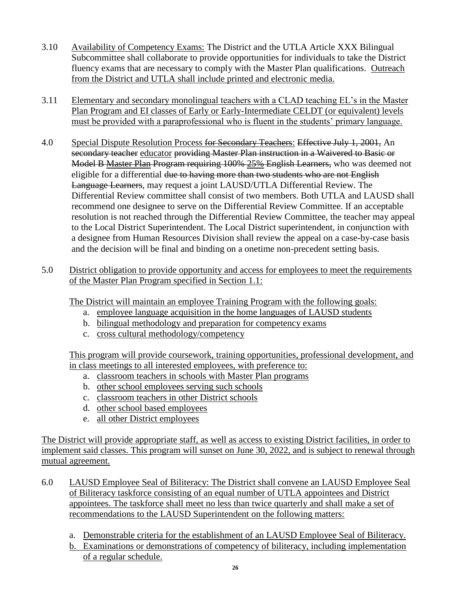- 3.10 Availability of Competency Exams: The District and the UTLA Article XXX Bilingual Subcommittee shall collaborate to provide opportunities for individuals to take the District fluency exams that are necessary to comply with the Master Plan qualifications. Outreach from the District and UTLA shall include printed and electronic media.
- 3.11 Elementary and secondary monolingual teachers with a CLAD teaching EL's in the Master Plan Program and EI classes of Early or Early-Intermediate CELDT (or equivalent) levels must be provided with a paraprofessional who is fluent in the students' primary language.
- 4.0 Special Dispute Resolution Process for Secondary Teachers: Effective July 1, 2001, An secondary teacher educator providing Master Plan instruction in a Waivered to Basic or Model B Master Plan Program requiring 100% 25% English Learners, who was deemed not eligible for a differential due to having more than two students who are not English Language Learners, may request a joint LAUSD/UTLA Differential Review. The Differential Review committee shall consist of two members. Both UTLA and LAUSD shall recommend one designee to serve on the Differential Review Committee. If an acceptable resolution is not reached through the Differential Review Committee, the teacher may appeal to the Local District Superintendent. The Local District superintendent, in conjunction with a designee from Human Resources Division shall review the appeal on a case-by-case basis and the decision will be final and binding on a onetime non-precedent setting basis.
- 5.0 District obligation to provide opportunity and access for employees to meet the requirements of the Master Plan Program specified in Section 1.1:

The District will maintain an employee Training Program with the following goals:

- a. employee language acquisition in the home languages of LAUSD students
- b. bilingual methodology and preparation for competency exams
- c. cross cultural methodology/competency

This program will provide coursework, training opportunities, professional development, and in class meetings to all interested employees, with preference to:

- a. classroom teachers in schools with Master Plan programs
- b. other school employees serving such schools
- c. classroom teachers in other District schools
- d. other school based employees
- e. all other District employees

The District will provide appropriate staff, as well as access to existing District facilities, in order to implement said classes. This program will sunset on June 30, 2022, and is subject to renewal through mutual agreement.

- 6.0 LAUSD Employee Seal of Biliteracy: The District shall convene an LAUSD Employee Seal of Biliteracy taskforce consisting of an equal number of UTLA appointees and District appointees. The taskforce shall meet no less than twice quarterly and shall make a set of recommendations to the LAUSD Superintendent on the following matters:
	- a. Demonstrable criteria for the establishment of an LAUSD Employee Seal of Biliteracy.
	- b. Examinations or demonstrations of competency of biliteracy, including implementation of a regular schedule.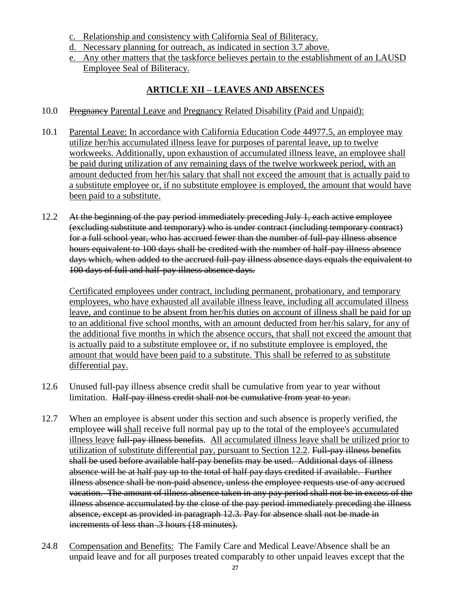- c. Relationship and consistency with California Seal of Biliteracy.
- d. Necessary planning for outreach, as indicated in section 3.7 above.
- e. Any other matters that the taskforce believes pertain to the establishment of an LAUSD Employee Seal of Biliteracy.

## **ARTICLE XII – LEAVES AND ABSENCES**

- 10.0 Pregnancy Parental Leave and Pregnancy Related Disability (Paid and Unpaid):
- 10.1 Parental Leave: In accordance with California Education Code 44977.5, an employee may utilize her/his accumulated illness leave for purposes of parental leave, up to twelve workweeks. Additionally, upon exhaustion of accumulated illness leave, an employee shall be paid during utilization of any remaining days of the twelve workweek period, with an amount deducted from her/his salary that shall not exceed the amount that is actually paid to a substitute employee or, if no substitute employee is employed, the amount that would have been paid to a substitute.
- 12.2 At the beginning of the pay period immediately preceding July 1, each active employee (excluding substitute and temporary) who is under contract (including temporary contract) for a full school year, who has accrued fewer than the number of full-pay illness absence hours equivalent to 100 days shall be credited with the number of half-pay illness absence days which, when added to the accrued full-pay illness absence days equals the equivalent to 100 days of full and half-pay illness absence days.

Certificated employees under contract, including permanent, probationary, and temporary employees, who have exhausted all available illness leave, including all accumulated illness leave, and continue to be absent from her/his duties on account of illness shall be paid for up to an additional five school months, with an amount deducted from her/his salary, for any of the additional five months in which the absence occurs, that shall not exceed the amount that is actually paid to a substitute employee or, if no substitute employee is employed, the amount that would have been paid to a substitute. This shall be referred to as substitute differential pay.

- 12.6 Unused full-pay illness absence credit shall be cumulative from year to year without limitation. Half-pay illness credit shall not be cumulative from year to year.
- 12.7 When an employee is absent under this section and such absence is properly verified, the employee will shall receive full normal pay up to the total of the employee's accumulated illness leave full-pay illness benefits. All accumulated illness leave shall be utilized prior to utilization of substitute differential pay, pursuant to Section 12.2. Full-pay illness benefits shall be used before available half-pay benefits may be used. Additional days of illness absence will be at half pay up to the total of half pay days credited if available. Further illness absence shall be non-paid absence, unless the employee requests use of any accrued vacation. The amount of illness absence taken in any pay period shall not be in excess of the illness absence accumulated by the close of the pay period immediately preceding the illness absence, except as provided in paragraph 12.3. Pay for absence shall not be made in increments of less than .3 hours (18 minutes).
- 24.8 Compensation and Benefits: The Family Care and Medical Leave/Absence shall be an unpaid leave and for all purposes treated comparably to other unpaid leaves except that the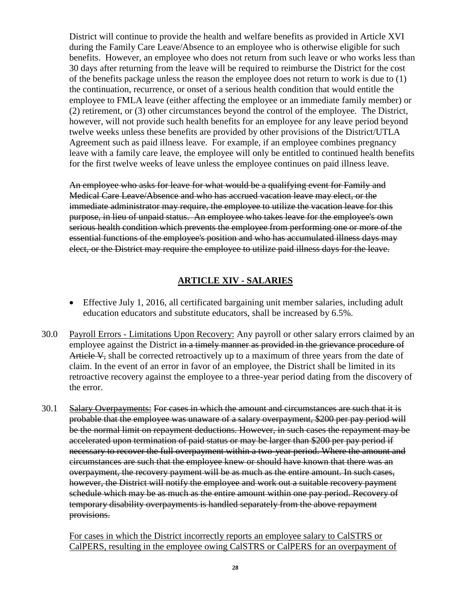District will continue to provide the health and welfare benefits as provided in Article XVI during the Family Care Leave/Absence to an employee who is otherwise eligible for such benefits. However, an employee who does not return from such leave or who works less than 30 days after returning from the leave will be required to reimburse the District for the cost of the benefits package unless the reason the employee does not return to work is due to (1) the continuation, recurrence, or onset of a serious health condition that would entitle the employee to FMLA leave (either affecting the employee or an immediate family member) or (2) retirement, or (3) other circumstances beyond the control of the employee. The District, however, will not provide such health benefits for an employee for any leave period beyond twelve weeks unless these benefits are provided by other provisions of the District/UTLA Agreement such as paid illness leave. For example, if an employee combines pregnancy leave with a family care leave, the employee will only be entitled to continued health benefits for the first twelve weeks of leave unless the employee continues on paid illness leave.

An employee who asks for leave for what would be a qualifying event for Family and Medical Care Leave/Absence and who has accrued vacation leave may elect, or the immediate administrator may require, the employee to utilize the vacation leave for this purpose, in lieu of unpaid status. An employee who takes leave for the employee's own serious health condition which prevents the employee from performing one or more of the essential functions of the employee's position and who has accumulated illness days may elect, or the District may require the employee to utilize paid illness days for the leave.

### **ARTICLE XIV - SALARIES**

- Effective July 1, 2016, all certificated bargaining unit member salaries, including adult education educators and substitute educators, shall be increased by 6.5%.
- 30.0 Payroll Errors Limitations Upon Recovery: Any payroll or other salary errors claimed by an employee against the District in a timely manner as provided in the grievance procedure of Article V, shall be corrected retroactively up to a maximum of three years from the date of claim. In the event of an error in favor of an employee, the District shall be limited in its retroactive recovery against the employee to a three-year period dating from the discovery of the error.
- 30.1 Salary Overpayments: For cases in which the amount and circumstances are such that it is probable that the employee was unaware of a salary overpayment, \$200 per pay period will be the normal limit on repayment deductions. However, in such cases the repayment may be accelerated upon termination of paid status or may be larger than \$200 per pay period if necessary to recover the full overpayment within a two-year period. Where the amount and circumstances are such that the employee knew or should have known that there was an overpayment, the recovery payment will be as much as the entire amount. In such cases, however, the District will notify the employee and work out a suitable recovery payment schedule which may be as much as the entire amount within one pay period. Recovery of temporary disability overpayments is handled separately from the above repayment provisions.

For cases in which the District incorrectly reports an employee salary to CalSTRS or CalPERS, resulting in the employee owing CalSTRS or CalPERS for an overpayment of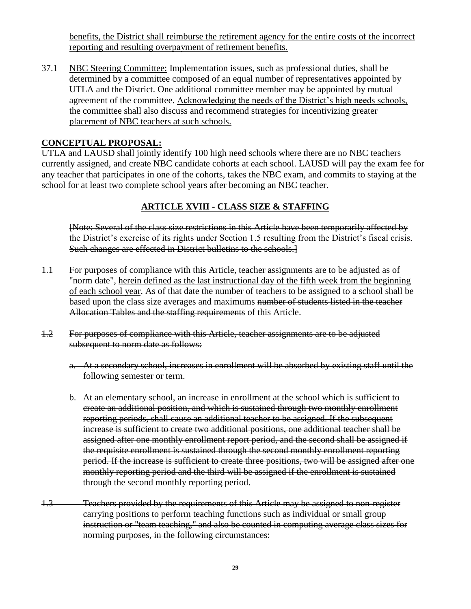benefits, the District shall reimburse the retirement agency for the entire costs of the incorrect reporting and resulting overpayment of retirement benefits.

37.1 NBC Steering Committee: Implementation issues, such as professional duties, shall be determined by a committee composed of an equal number of representatives appointed by UTLA and the District. One additional committee member may be appointed by mutual agreement of the committee. Acknowledging the needs of the District's high needs schools, the committee shall also discuss and recommend strategies for incentivizing greater placement of NBC teachers at such schools.

### **CONCEPTUAL PROPOSAL:**

UTLA and LAUSD shall jointly identify 100 high need schools where there are no NBC teachers currently assigned, and create NBC candidate cohorts at each school. LAUSD will pay the exam fee for any teacher that participates in one of the cohorts, takes the NBC exam, and commits to staying at the school for at least two complete school years after becoming an NBC teacher.

## **ARTICLE XVIII - CLASS SIZE & STAFFING**

[Note: Several of the class size restrictions in this Article have been temporarily affected by the District's exercise of its rights under Section 1.5 resulting from the District's fiscal crisis. Such changes are effected in District bulletins to the schools.]

- 1.1 For purposes of compliance with this Article, teacher assignments are to be adjusted as of "norm date", herein defined as the last instructional day of the fifth week from the beginning of each school year. As of that date the number of teachers to be assigned to a school shall be based upon the class size averages and maximums number of students listed in the teacher Allocation Tables and the staffing requirements of this Article.
- 1.2 For purposes of compliance with this Article, teacher assignments are to be adjusted subsequent to norm date as follows:
	- a. At a secondary school, increases in enrollment will be absorbed by existing staff until the following semester or term.
	- b. At an elementary school, an increase in enrollment at the school which is sufficient to create an additional position, and which is sustained through two monthly enrollment reporting periods, shall cause an additional teacher to be assigned. If the subsequent increase is sufficient to create two additional positions, one additional teacher shall be assigned after one monthly enrollment report period, and the second shall be assigned if the requisite enrollment is sustained through the second monthly enrollment reporting period. If the increase is sufficient to create three positions, two will be assigned after one monthly reporting period and the third will be assigned if the enrollment is sustained through the second monthly reporting period.
- 1.3 Teachers provided by the requirements of this Article may be assigned to non-register carrying positions to perform teaching functions such as individual or small group instruction or "team teaching," and also be counted in computing average class sizes for norming purposes, in the following circumstances: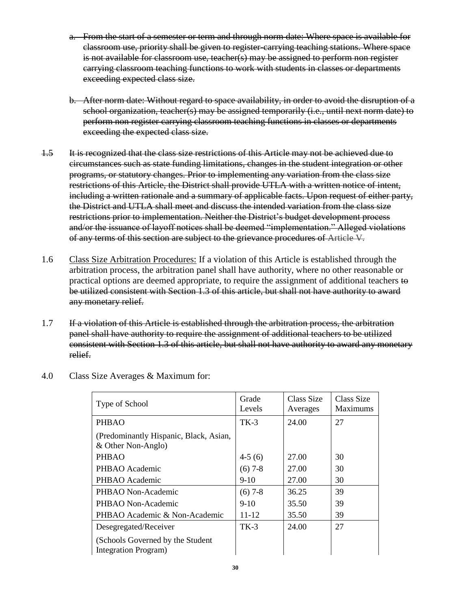- a. From the start of a semester or term and through norm date: Where space is available for classroom use, priority shall be given to register-carrying teaching stations. Where space is not available for classroom use, teacher(s) may be assigned to perform non register carrying classroom teaching functions to work with students in classes or departments exceeding expected class size.
- b. After norm date: Without regard to space availability, in order to avoid the disruption of a school organization, teacher(s) may be assigned temporarily (i.e., until next norm date) to perform non register carrying classroom teaching functions in classes or departments exceeding the expected class size.
- 1.5 It is recognized that the class size restrictions of this Article may not be achieved due to circumstances such as state funding limitations, changes in the student integration or other programs, or statutory changes. Prior to implementing any variation from the class size restrictions of this Article, the District shall provide UTLA with a written notice of intent, including a written rationale and a summary of applicable facts. Upon request of either party, the District and UTLA shall meet and discuss the intended variation from the class size restrictions prior to implementation. Neither the District's budget development process and/or the issuance of layoff notices shall be deemed "implementation." Alleged violations of any terms of this section are subject to the grievance procedures of Article V.
- 1.6 Class Size Arbitration Procedures: If a violation of this Article is established through the arbitration process, the arbitration panel shall have authority, where no other reasonable or practical options are deemed appropriate, to require the assignment of additional teachers to be utilized consistent with Section 1.3 of this article, but shall not have authority to award any monetary relief.
- 1.7 If a violation of this Article is established through the arbitration process, the arbitration panel shall have authority to require the assignment of additional teachers to be utilized consistent with Section 1.3 of this article, but shall not have authority to award any monetary relief.

| Type of School                                               | Grade<br>Levels | Class Size<br>Averages | Class Size<br><b>Maximums</b> |
|--------------------------------------------------------------|-----------------|------------------------|-------------------------------|
| <b>PHBAO</b>                                                 | TK-3            | 24.00                  | 27                            |
| (Predominantly Hispanic, Black, Asian,<br>& Other Non-Anglo) |                 |                        |                               |
| <b>PHBAO</b>                                                 | $4-5(6)$        | 27.00                  | 30                            |
| PHBAO Academic                                               | $(6)$ 7-8       | 27.00                  | 30                            |
| PHBAO Academic                                               | $9-10$          | 27.00                  | 30                            |
| PHBAO Non-Academic                                           | $(6)$ 7-8       | 36.25                  | 39                            |
| PHBAO Non-Academic                                           | $9-10$          | 35.50                  | 39                            |
| PHBAO Academic & Non-Academic                                | $11 - 12$       | 35.50                  | 39                            |
| Desegregated/Receiver                                        | TK-3            | 24.00                  | 27                            |
| (Schools Governed by the Student<br>Integration Program)     |                 |                        |                               |

4.0 Class Size Averages & Maximum for: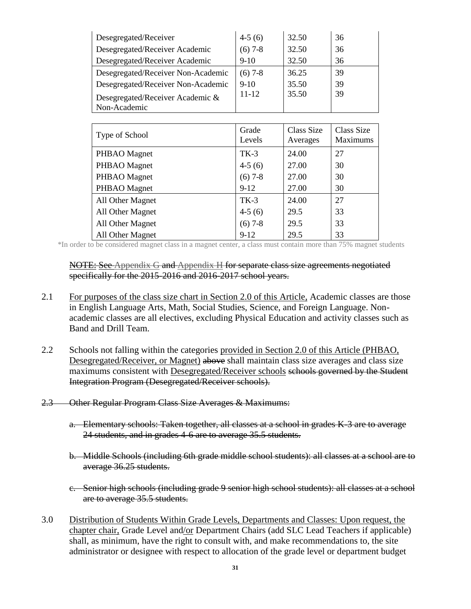| Desegregated/Receiver              | $4-5(6)$  | 32.50 | 36 |
|------------------------------------|-----------|-------|----|
| Desegregated/Receiver Academic     | $(6)$ 7-8 | 32.50 | 36 |
| Desegregated/Receiver Academic     | $9-10$    | 32.50 | 36 |
| Desegregated/Receiver Non-Academic | $(6)$ 7-8 | 36.25 | 39 |
| Desegregated/Receiver Non-Academic | $9-10$    | 35.50 | 39 |
| Desegregated/Receiver Academic &   | $11 - 12$ | 35.50 | 39 |
| Non-Academic                       |           |       |    |

| Type of School   | Grade<br>Levels | Class Size<br>Averages | Class Size<br><b>Maximums</b> |
|------------------|-----------------|------------------------|-------------------------------|
| PHBAO Magnet     | $TK-3$          | 24.00                  | 27                            |
| PHBAO Magnet     | $4-5(6)$        | 27.00                  | 30                            |
| PHBAO Magnet     | $(6)$ 7-8       | 27.00                  | 30                            |
| PHBAO Magnet     | $9-12$          | 27.00                  | 30                            |
| All Other Magnet | $TK-3$          | 24.00                  | 27                            |
| All Other Magnet | $4-5(6)$        | 29.5                   | 33                            |
| All Other Magnet | $(6)$ 7-8       | 29.5                   | 33                            |
| All Other Magnet | $9-12$          | 29.5                   | 33                            |

\*In order to be considered magnet class in a magnet center, a class must contain more than 75% magnet students

NOTE: See Appendix G and Appendix H for separate class size agreements negotiated specifically for the 2015-2016 and 2016-2017 school years.

- 2.1 For purposes of the class size chart in Section 2.0 of this Article, Academic classes are those in English Language Arts, Math, Social Studies, Science, and Foreign Language. Nonacademic classes are all electives, excluding Physical Education and activity classes such as Band and Drill Team.
- 2.2 Schools not falling within the categories provided in Section 2.0 of this Article (PHBAO, Desegregated/Receiver, or Magnet) above shall maintain class size averages and class size maximums consistent with Desegregated/Receiver schools schools governed by the Student Integration Program (Desegregated/Receiver schools).
- 2.3 Other Regular Program Class Size Averages & Maximums:
	- a. Elementary schools: Taken together, all classes at a school in grades K-3 are to average 24 students, and in grades 4-6 are to average 35.5 students.
	- b. Middle Schools (including 6th grade middle school students): all classes at a school are to average 36.25 students.
	- c. Senior high schools (including grade 9 senior high school students): all classes at a school are to average 35.5 students.
- 3.0 Distribution of Students Within Grade Levels, Departments and Classes: Upon request, the chapter chair, Grade Level and/or Department Chairs (add SLC Lead Teachers if applicable) shall, as minimum, have the right to consult with, and make recommendations to, the site administrator or designee with respect to allocation of the grade level or department budget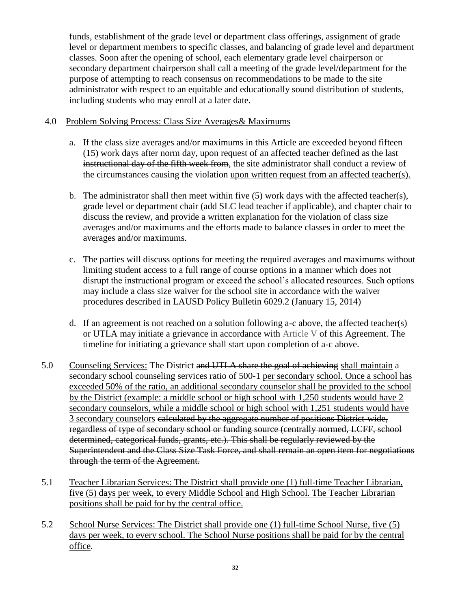funds, establishment of the grade level or department class offerings, assignment of grade level or department members to specific classes, and balancing of grade level and department classes. Soon after the opening of school, each elementary grade level chairperson or secondary department chairperson shall call a meeting of the grade level/department for the purpose of attempting to reach consensus on recommendations to be made to the site administrator with respect to an equitable and educationally sound distribution of students, including students who may enroll at a later date.

### 4.0 Problem Solving Process: Class Size Averages& Maximums

- a. If the class size averages and/or maximums in this Article are exceeded beyond fifteen (15) work days after norm day, upon request of an affected teacher defined as the last instructional day of the fifth week from, the site administrator shall conduct a review of the circumstances causing the violation upon written request from an affected teacher(s).
- b. The administrator shall then meet within five (5) work days with the affected teacher(s), grade level or department chair (add SLC lead teacher if applicable), and chapter chair to discuss the review, and provide a written explanation for the violation of class size averages and/or maximums and the efforts made to balance classes in order to meet the averages and/or maximums.
- c. The parties will discuss options for meeting the required averages and maximums without limiting student access to a full range of course options in a manner which does not disrupt the instructional program or exceed the school's allocated resources. Such options may include a class size waiver for the school site in accordance with the waiver procedures described in LAUSD Policy Bulletin 6029.2 (January 15, 2014)
- d. If an agreement is not reached on a solution following a-c above, the affected teacher(s) or UTLA may initiate a grievance in accordance with Article V of this Agreement. The timeline for initiating a grievance shall start upon completion of a-c above.
- 5.0 Counseling Services: The District and UTLA share the goal of achieving shall maintain a secondary school counseling services ratio of 500-1 per secondary school. Once a school has exceeded 50% of the ratio, an additional secondary counselor shall be provided to the school by the District (example: a middle school or high school with 1,250 students would have 2 secondary counselors, while a middle school or high school with 1,251 students would have 3 secondary counselors calculated by the aggregate number of positions District-wide, regardless of type of secondary school or funding source (centrally normed, LCFF, school determined, categorical funds, grants, etc.). This shall be regularly reviewed by the Superintendent and the Class Size Task Force, and shall remain an open item for negotiations through the term of the Agreement.
- 5.1 Teacher Librarian Services: The District shall provide one (1) full-time Teacher Librarian, five (5) days per week, to every Middle School and High School. The Teacher Librarian positions shall be paid for by the central office.
- 5.2 School Nurse Services: The District shall provide one (1) full-time School Nurse, five (5) days per week, to every school. The School Nurse positions shall be paid for by the central office.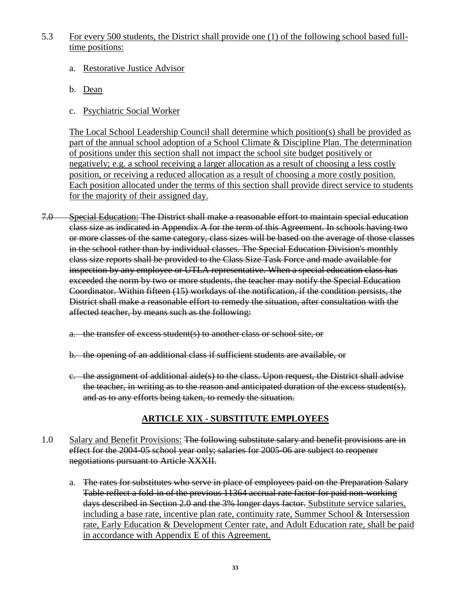- 5.3 For every 500 students, the District shall provide one (1) of the following school based fulltime positions:
	- a. Restorative Justice Advisor
	- b. Dean
	- c. Psychiatric Social Worker

The Local School Leadership Council shall determine which position(s) shall be provided as part of the annual school adoption of a School Climate & Discipline Plan. The determination of positions under this section shall not impact the school site budget positively or negatively; e.g. a school receiving a larger allocation as a result of choosing a less costly position, or receiving a reduced allocation as a result of choosing a more costly position. Each position allocated under the terms of this section shall provide direct service to students for the majority of their assigned day.

- 7.0 Special Education: The District shall make a reasonable effort to maintain special education class size as indicated in Appendix A for the term of this Agreement. In schools having two or more classes of the same category, class sizes will be based on the average of those classes in the school rather than by individual classes. The Special Education Division's monthly class size reports shall be provided to the Class Size Task Force and made available for inspection by any employee or UTLA representative. When a special education class has exceeded the norm by two or more students, the teacher may notify the Special Education Coordinator. Within fifteen (15) workdays of the notification, if the condition persists, the District shall make a reasonable effort to remedy the situation, after consultation with the affected teacher, by means such as the following:
	- a. the transfer of excess student(s) to another class or school site, or
	- b. the opening of an additional class if sufficient students are available, or
	- c. the assignment of additional aide(s) to the class. Upon request, the District shall advise the teacher, in writing as to the reason and anticipated duration of the excess student(s), and as to any efforts being taken, to remedy the situation.

## **ARTICLE XIX - SUBSTITUTE EMPLOYEES**

- 1.0 Salary and Benefit Provisions: The following substitute salary and benefit provisions are in effect for the 2004-05 school year only; salaries for 2005-06 are subject to reopener negotiations pursuant to Article XXXII.
	- a. The rates for substitutes who serve in place of employees paid on the Preparation Salary Table reflect a fold-in of the previous 11364 accrual rate factor for paid non-working days described in Section 2.0 and the 3% longer days factor. Substitute service salaries, including a base rate, incentive plan rate, continuity rate, Summer School & Intersession rate, Early Education & Development Center rate, and Adult Education rate, shall be paid in accordance with Appendix E of this Agreement.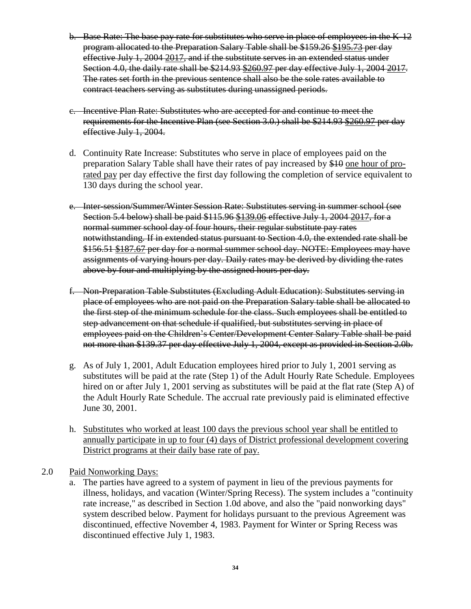- b. Base Rate: The base pay rate for substitutes who serve in place of employees in the K-12 program allocated to the Preparation Salary Table shall be \$159.26 \$195.73 per day effective July 1, 2004 2017, and if the substitute serves in an extended status under Section 4.0, the daily rate shall be \$214.93 \$260.97 per day effective July 1, 2004 2017. The rates set forth in the previous sentence shall also be the sole rates available to contract teachers serving as substitutes during unassigned periods.
- c. Incentive Plan Rate: Substitutes who are accepted for and continue to meet the requirements for the Incentive Plan (see Section 3.0.) shall be \$214.93 \$260.97 per day effective July 1, 2004.
- d. Continuity Rate Increase: Substitutes who serve in place of employees paid on the preparation Salary Table shall have their rates of pay increased by \$10 one hour of prorated pay per day effective the first day following the completion of service equivalent to 130 days during the school year.
- e. Inter-session/Summer/Winter Session Rate: Substitutes serving in summer school (see Section 5.4 below) shall be paid \$115.96 \$139.06 effective July 1, 2004 2017, for a normal summer school day of four hours, their regular substitute pay rates notwithstanding. If in extended status pursuant to Section 4.0, the extended rate shall be \$156.51 \$187.67 per day for a normal summer school day. NOTE: Employees may have assignments of varying hours per day. Daily rates may be derived by dividing the rates above by four and multiplying by the assigned hours per day.
- f. Non-Preparation Table Substitutes (Excluding Adult Education): Substitutes serving in place of employees who are not paid on the Preparation Salary table shall be allocated to the first step of the minimum schedule for the class. Such employees shall be entitled to step advancement on that schedule if qualified, but substitutes serving in place of employees paid on the Children's Center/Development Center Salary Table shall be paid not more than \$139.37 per day effective July 1, 2004, except as provided in Section 2.0b.
- g. As of July 1, 2001, Adult Education employees hired prior to July 1, 2001 serving as substitutes will be paid at the rate (Step 1) of the Adult Hourly Rate Schedule. Employees hired on or after July 1, 2001 serving as substitutes will be paid at the flat rate (Step A) of the Adult Hourly Rate Schedule. The accrual rate previously paid is eliminated effective June 30, 2001.
- h. Substitutes who worked at least 100 days the previous school year shall be entitled to annually participate in up to four (4) days of District professional development covering District programs at their daily base rate of pay.

2.0 Paid Nonworking Days:

a. The parties have agreed to a system of payment in lieu of the previous payments for illness, holidays, and vacation (Winter/Spring Recess). The system includes a "continuity rate increase," as described in Section 1.0d above, and also the "paid nonworking days" system described below. Payment for holidays pursuant to the previous Agreement was discontinued, effective November 4, 1983. Payment for Winter or Spring Recess was discontinued effective July 1, 1983.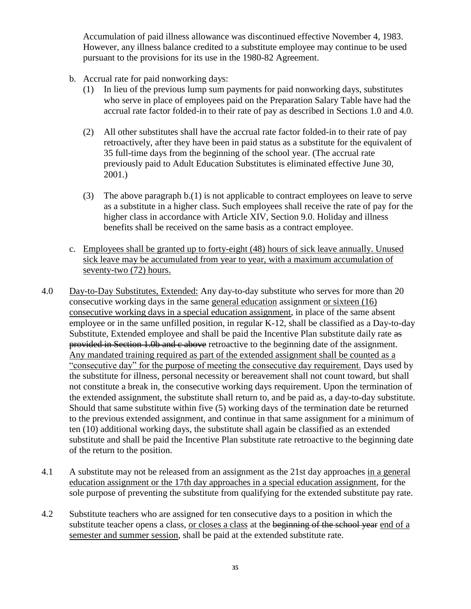Accumulation of paid illness allowance was discontinued effective November 4, 1983. However, any illness balance credited to a substitute employee may continue to be used pursuant to the provisions for its use in the 1980-82 Agreement.

- b. Accrual rate for paid nonworking days:
	- (1) In lieu of the previous lump sum payments for paid nonworking days, substitutes who serve in place of employees paid on the Preparation Salary Table have had the accrual rate factor folded-in to their rate of pay as described in Sections 1.0 and 4.0.
	- (2) All other substitutes shall have the accrual rate factor folded-in to their rate of pay retroactively, after they have been in paid status as a substitute for the equivalent of 35 full-time days from the beginning of the school year. (The accrual rate previously paid to Adult Education Substitutes is eliminated effective June 30, 2001.)
	- (3) The above paragraph b.(1) is not applicable to contract employees on leave to serve as a substitute in a higher class. Such employees shall receive the rate of pay for the higher class in accordance with Article XIV, Section 9.0. Holiday and illness benefits shall be received on the same basis as a contract employee.
- c. Employees shall be granted up to forty-eight (48) hours of sick leave annually. Unused sick leave may be accumulated from year to year, with a maximum accumulation of seventy-two (72) hours.
- 4.0 Day-to-Day Substitutes, Extended: Any day-to-day substitute who serves for more than 20 consecutive working days in the same general education assignment or sixteen (16) consecutive working days in a special education assignment, in place of the same absent employee or in the same unfilled position, in regular K-12, shall be classified as a Day-to-day Substitute, Extended employee and shall be paid the Incentive Plan substitute daily rate as provided in Section 1.0b and c above retroactive to the beginning date of the assignment. Any mandated training required as part of the extended assignment shall be counted as a "consecutive day" for the purpose of meeting the consecutive day requirement. Days used by the substitute for illness, personal necessity or bereavement shall not count toward, but shall not constitute a break in, the consecutive working days requirement. Upon the termination of the extended assignment, the substitute shall return to, and be paid as, a day-to-day substitute. Should that same substitute within five (5) working days of the termination date be returned to the previous extended assignment, and continue in that same assignment for a minimum of ten (10) additional working days, the substitute shall again be classified as an extended substitute and shall be paid the Incentive Plan substitute rate retroactive to the beginning date of the return to the position.
- 4.1 A substitute may not be released from an assignment as the 21st day approaches in a general education assignment or the 17th day approaches in a special education assignment, for the sole purpose of preventing the substitute from qualifying for the extended substitute pay rate.
- 4.2 Substitute teachers who are assigned for ten consecutive days to a position in which the substitute teacher opens a class, or closes a class at the beginning of the school year end of a semester and summer session, shall be paid at the extended substitute rate.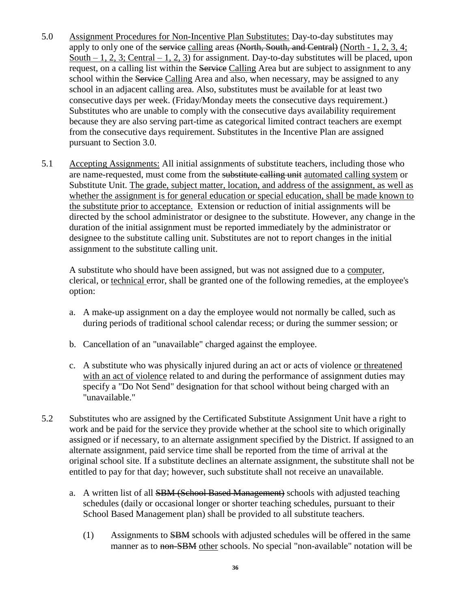- 5.0 Assignment Procedures for Non-Incentive Plan Substitutes: Day-to-day substitutes may apply to only one of the service calling areas (North, South, and Central) (North - 1, 2, 3, 4; South – 1, 2, 3; Central – 1, 2, 3) for assignment. Day-to-day substitutes will be placed, upon request, on a calling list within the Service Calling Area but are subject to assignment to any school within the Service Calling Area and also, when necessary, may be assigned to any school in an adjacent calling area. Also, substitutes must be available for at least two consecutive days per week. (Friday/Monday meets the consecutive days requirement.) Substitutes who are unable to comply with the consecutive days availability requirement because they are also serving part-time as categorical limited contract teachers are exempt from the consecutive days requirement. Substitutes in the Incentive Plan are assigned pursuant to Section 3.0.
- 5.1 Accepting Assignments: All initial assignments of substitute teachers, including those who are name-requested, must come from the substitute calling unit automated calling system or Substitute Unit. The grade, subject matter, location, and address of the assignment, as well as whether the assignment is for general education or special education, shall be made known to the substitute prior to acceptance. Extension or reduction of initial assignments will be directed by the school administrator or designee to the substitute. However, any change in the duration of the initial assignment must be reported immediately by the administrator or designee to the substitute calling unit. Substitutes are not to report changes in the initial assignment to the substitute calling unit.

A substitute who should have been assigned, but was not assigned due to a computer, clerical, or technical error, shall be granted one of the following remedies, at the employee's option:

- a. A make-up assignment on a day the employee would not normally be called, such as during periods of traditional school calendar recess; or during the summer session; or
- b. Cancellation of an "unavailable" charged against the employee.
- c. A substitute who was physically injured during an act or acts of violence or threatened with an act of violence related to and during the performance of assignment duties may specify a "Do Not Send" designation for that school without being charged with an "unavailable."
- 5.2 Substitutes who are assigned by the Certificated Substitute Assignment Unit have a right to work and be paid for the service they provide whether at the school site to which originally assigned or if necessary, to an alternate assignment specified by the District. If assigned to an alternate assignment, paid service time shall be reported from the time of arrival at the original school site. If a substitute declines an alternate assignment, the substitute shall not be entitled to pay for that day; however, such substitute shall not receive an unavailable.
	- a. A written list of all **SBM (School Based Management)** schools with adjusted teaching schedules (daily or occasional longer or shorter teaching schedules, pursuant to their School Based Management plan) shall be provided to all substitute teachers.
		- (1) Assignments to SBM schools with adjusted schedules will be offered in the same manner as to non-SBM other schools. No special "non-available" notation will be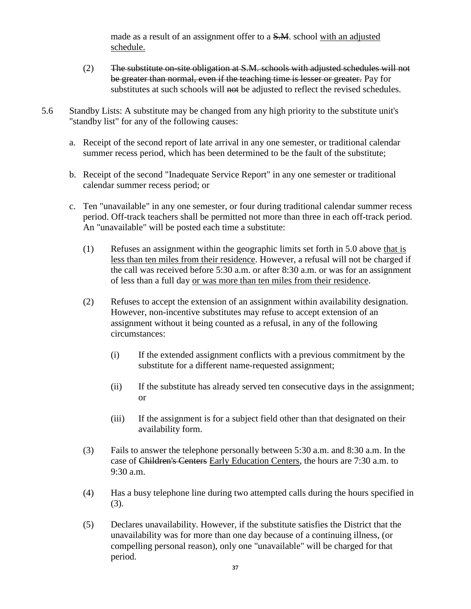made as a result of an assignment offer to a S.M. school with an adjusted schedule.

- (2) The substitute on-site obligation at S.M. schools with adjusted schedules will not be greater than normal, even if the teaching time is lesser or greater. Pay for substitutes at such schools will not be adjusted to reflect the revised schedules.
- 5.6 Standby Lists: A substitute may be changed from any high priority to the substitute unit's "standby list" for any of the following causes:
	- a. Receipt of the second report of late arrival in any one semester, or traditional calendar summer recess period, which has been determined to be the fault of the substitute;
	- b. Receipt of the second "Inadequate Service Report" in any one semester or traditional calendar summer recess period; or
	- c. Ten "unavailable" in any one semester, or four during traditional calendar summer recess period. Off-track teachers shall be permitted not more than three in each off-track period. An "unavailable" will be posted each time a substitute:
		- (1) Refuses an assignment within the geographic limits set forth in 5.0 above that is less than ten miles from their residence. However, a refusal will not be charged if the call was received before 5:30 a.m. or after 8:30 a.m. or was for an assignment of less than a full day or was more than ten miles from their residence.
		- (2) Refuses to accept the extension of an assignment within availability designation. However, non-incentive substitutes may refuse to accept extension of an assignment without it being counted as a refusal, in any of the following circumstances:
			- (i) If the extended assignment conflicts with a previous commitment by the substitute for a different name-requested assignment;
			- (ii) If the substitute has already served ten consecutive days in the assignment; or
			- (iii) If the assignment is for a subject field other than that designated on their availability form.
		- (3) Fails to answer the telephone personally between 5:30 a.m. and 8:30 a.m. In the case of Children's Centers Early Education Centers, the hours are 7:30 a.m. to 9:30 a.m.
		- (4) Has a busy telephone line during two attempted calls during the hours specified in (3).
		- (5) Declares unavailability. However, if the substitute satisfies the District that the unavailability was for more than one day because of a continuing illness, (or compelling personal reason), only one "unavailable" will be charged for that period.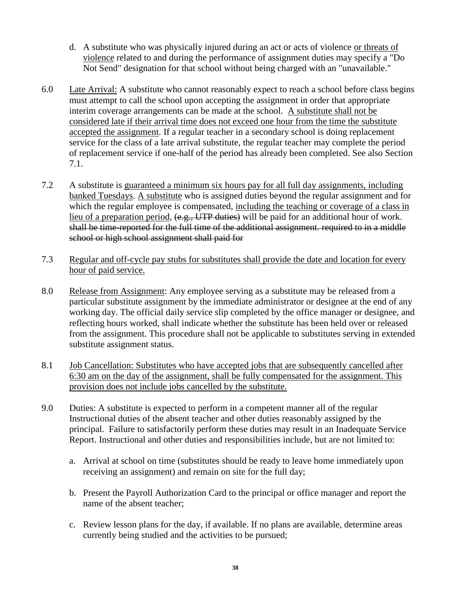- d. A substitute who was physically injured during an act or acts of violence or threats of violence related to and during the performance of assignment duties may specify a "Do Not Send" designation for that school without being charged with an "unavailable."
- 6.0 Late Arrival: A substitute who cannot reasonably expect to reach a school before class begins must attempt to call the school upon accepting the assignment in order that appropriate interim coverage arrangements can be made at the school. A substitute shall not be considered late if their arrival time does not exceed one hour from the time the substitute accepted the assignment. If a regular teacher in a secondary school is doing replacement service for the class of a late arrival substitute, the regular teacher may complete the period of replacement service if one-half of the period has already been completed. See also Section 7.1.
- 7.2 A substitute is guaranteed a minimum six hours pay for all full day assignments, including banked Tuesdays. A substitute who is assigned duties beyond the regular assignment and for which the regular employee is compensated, including the teaching or coverage of a class in lieu of a preparation period,  $(e.g., UTP duties)$  will be paid for an additional hour of work. shall be time-reported for the full time of the additional assignment. required to in a middle school or high school assignment shall paid for
- 7.3 Regular and off-cycle pay stubs for substitutes shall provide the date and location for every hour of paid service.
- 8.0 Release from Assignment: Any employee serving as a substitute may be released from a particular substitute assignment by the immediate administrator or designee at the end of any working day. The official daily service slip completed by the office manager or designee, and reflecting hours worked, shall indicate whether the substitute has been held over or released from the assignment. This procedure shall not be applicable to substitutes serving in extended substitute assignment status.
- 8.1 Job Cancellation: Substitutes who have accepted jobs that are subsequently cancelled after 6:30 am on the day of the assignment, shall be fully compensated for the assignment. This provision does not include jobs cancelled by the substitute.
- 9.0 Duties: A substitute is expected to perform in a competent manner all of the regular Instructional duties of the absent teacher and other duties reasonably assigned by the principal. Failure to satisfactorily perform these duties may result in an Inadequate Service Report. Instructional and other duties and responsibilities include, but are not limited to:
	- a. Arrival at school on time (substitutes should be ready to leave home immediately upon receiving an assignment) and remain on site for the full day;
	- b. Present the Payroll Authorization Card to the principal or office manager and report the name of the absent teacher;
	- c. Review lesson plans for the day, if available. If no plans are available, determine areas currently being studied and the activities to be pursued;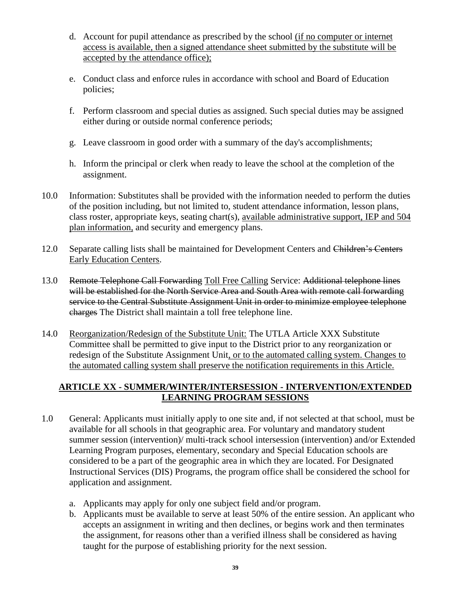- d. Account for pupil attendance as prescribed by the school (if no computer or internet access is available, then a signed attendance sheet submitted by the substitute will be accepted by the attendance office);
- e. Conduct class and enforce rules in accordance with school and Board of Education policies;
- f. Perform classroom and special duties as assigned. Such special duties may be assigned either during or outside normal conference periods;
- g. Leave classroom in good order with a summary of the day's accomplishments;
- h. Inform the principal or clerk when ready to leave the school at the completion of the assignment.
- 10.0 Information: Substitutes shall be provided with the information needed to perform the duties of the position including, but not limited to, student attendance information, lesson plans, class roster, appropriate keys, seating chart(s), available administrative support, IEP and 504 plan information, and security and emergency plans.
- 12.0 Separate calling lists shall be maintained for Development Centers and Children's Centers Early Education Centers.
- 13.0 Remote Telephone Call Forwarding Toll Free Calling Service: Additional telephone lines will be established for the North Service Area and South Area with remote call forwarding service to the Central Substitute Assignment Unit in order to minimize employee telephone charges The District shall maintain a toll free telephone line.
- 14.0 Reorganization/Redesign of the Substitute Unit: The UTLA Article XXX Substitute Committee shall be permitted to give input to the District prior to any reorganization or redesign of the Substitute Assignment Unit, or to the automated calling system. Changes to the automated calling system shall preserve the notification requirements in this Article.

### **ARTICLE XX - SUMMER/WINTER/INTERSESSION - INTERVENTION/EXTENDED LEARNING PROGRAM SESSIONS**

- 1.0 General: Applicants must initially apply to one site and, if not selected at that school, must be available for all schools in that geographic area. For voluntary and mandatory student summer session (intervention)/ multi-track school intersession (intervention) and/or Extended Learning Program purposes, elementary, secondary and Special Education schools are considered to be a part of the geographic area in which they are located. For Designated Instructional Services (DIS) Programs, the program office shall be considered the school for application and assignment.
	- a. Applicants may apply for only one subject field and/or program.
	- b. Applicants must be available to serve at least 50% of the entire session. An applicant who accepts an assignment in writing and then declines, or begins work and then terminates the assignment, for reasons other than a verified illness shall be considered as having taught for the purpose of establishing priority for the next session.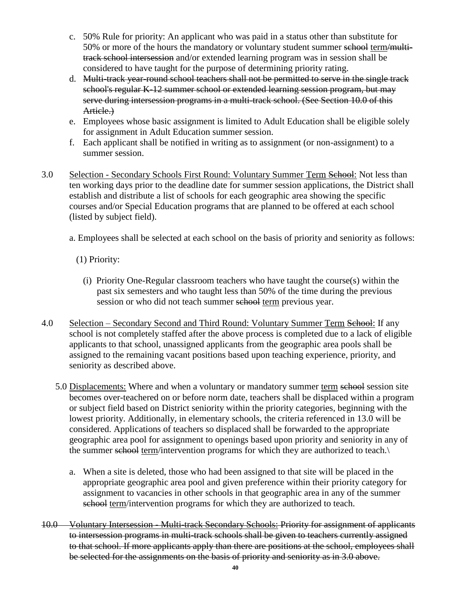- c. 50% Rule for priority: An applicant who was paid in a status other than substitute for 50% or more of the hours the mandatory or voluntary student summer school term/multitrack school intersession and/or extended learning program was in session shall be considered to have taught for the purpose of determining priority rating.
- d. Multi-track year-round school teachers shall not be permitted to serve in the single track school's regular K-12 summer school or extended learning session program, but may serve during intersession programs in a multi-track school. (See Section 10.0 of this Article.)
- e. Employees whose basic assignment is limited to Adult Education shall be eligible solely for assignment in Adult Education summer session.
- f. Each applicant shall be notified in writing as to assignment (or non-assignment) to a summer session.
- 3.0 Selection Secondary Schools First Round: Voluntary Summer Term School: Not less than ten working days prior to the deadline date for summer session applications, the District shall establish and distribute a list of schools for each geographic area showing the specific courses and/or Special Education programs that are planned to be offered at each school (listed by subject field).

a. Employees shall be selected at each school on the basis of priority and seniority as follows:

(1) Priority:

- (i) Priority One-Regular classroom teachers who have taught the course(s) within the past six semesters and who taught less than 50% of the time during the previous session or who did not teach summer school term previous year.
- 4.0 Selection Secondary Second and Third Round: Voluntary Summer Term Sehool: If any school is not completely staffed after the above process is completed due to a lack of eligible applicants to that school, unassigned applicants from the geographic area pools shall be assigned to the remaining vacant positions based upon teaching experience, priority, and seniority as described above.
	- 5.0 Displacements: Where and when a voluntary or mandatory summer term school session site becomes over-teachered on or before norm date, teachers shall be displaced within a program or subject field based on District seniority within the priority categories, beginning with the lowest priority. Additionally, in elementary schools, the criteria referenced in 13.0 will be considered. Applications of teachers so displaced shall be forwarded to the appropriate geographic area pool for assignment to openings based upon priority and seniority in any of the summer school term/intervention programs for which they are authorized to teach.
		- a. When a site is deleted, those who had been assigned to that site will be placed in the appropriate geographic area pool and given preference within their priority category for assignment to vacancies in other schools in that geographic area in any of the summer school term/intervention programs for which they are authorized to teach.
- 10.0 Voluntary Intersession Multi-track Secondary Schools: Priority for assignment of applicants to intersession programs in multi-track schools shall be given to teachers currently assigned to that school. If more applicants apply than there are positions at the school, employees shall be selected for the assignments on the basis of priority and seniority as in 3.0 above.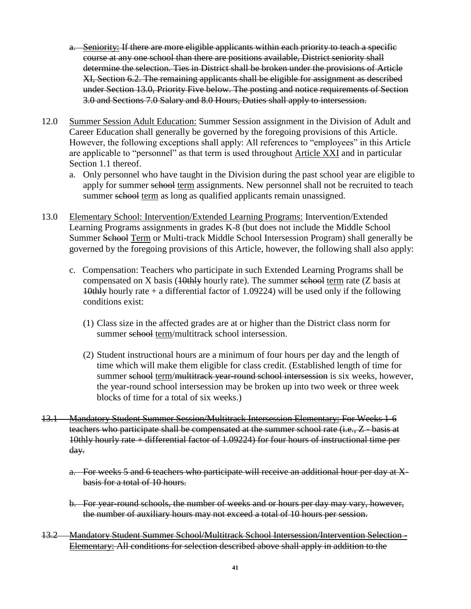- a. Seniority: If there are more eligible applicants within each priority to teach a specific course at any one school than there are positions available, District seniority shall determine the selection. Ties in District shall be broken under the provisions of Article XI, Section 6.2. The remaining applicants shall be eligible for assignment as described under Section 13.0, Priority Five below. The posting and notice requirements of Section 3.0 and Sections 7.0 Salary and 8.0 Hours, Duties shall apply to intersession.
- 12.0 Summer Session Adult Education: Summer Session assignment in the Division of Adult and Career Education shall generally be governed by the foregoing provisions of this Article. However, the following exceptions shall apply: All references to "employees" in this Article are applicable to "personnel" as that term is used throughout Article XXI and in particular Section 1.1 thereof.
	- a. Only personnel who have taught in the Division during the past school year are eligible to apply for summer school term assignments. New personnel shall not be recruited to teach summer school term as long as qualified applicants remain unassigned.
- 13.0 Elementary School: Intervention/Extended Learning Programs: Intervention/Extended Learning Programs assignments in grades K-8 (but does not include the Middle School Summer School Term or Multi-track Middle School Intersession Program) shall generally be governed by the foregoing provisions of this Article, however, the following shall also apply:
	- c. Compensation: Teachers who participate in such Extended Learning Programs shall be compensated on X basis ( $10$ thly hourly rate). The summer school term rate ( $Z$  basis at  $10$ thly hourly rate + a differential factor of 1.09224) will be used only if the following conditions exist:
		- (1) Class size in the affected grades are at or higher than the District class norm for summer school term/multitrack school intersession.
		- (2) Student instructional hours are a minimum of four hours per day and the length of time which will make them eligible for class credit. (Established length of time for summer school term/multitrack year-round school intersession is six weeks, however, the year-round school intersession may be broken up into two week or three week blocks of time for a total of six weeks.)
- 13.1 Mandatory Student Summer Session/Multitrack Intersession Elementary: For Weeks 1-6 teachers who participate shall be compensated at the summer school rate (i.e., Z - basis at 10thly hourly rate + differential factor of 1.09224) for four hours of instructional time per day.
	- a. For weeks 5 and 6 teachers who participate will receive an additional hour per day at Xbasis for a total of 10 hours.
	- b. For year-round schools, the number of weeks and or hours per day may vary, however, the number of auxiliary hours may not exceed a total of 10 hours per session.
- 13.2 Mandatory Student Summer School/Multitrack School Intersession/Intervention Selection Elementary: All conditions for selection described above shall apply in addition to the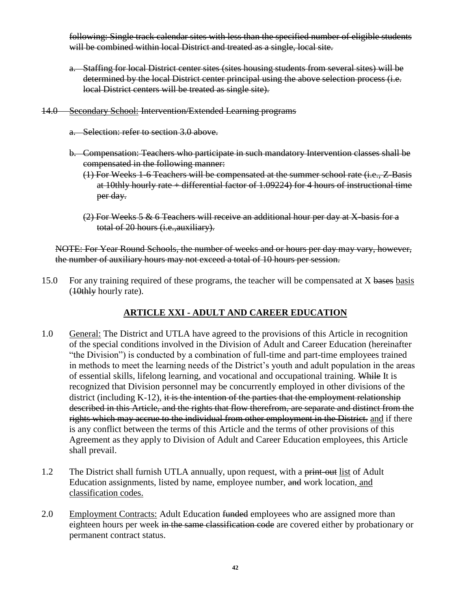following: Single track calendar sites with less than the specified number of eligible students will be combined within local District and treated as a single, local site.

- a. Staffing for local District center sites (sites housing students from several sites) will be determined by the local District center principal using the above selection process (i.e. local District centers will be treated as single site).
- 14.0 Secondary School: Intervention/Extended Learning programs
	- a. Selection: refer to section 3.0 above.
	- b. Compensation: Teachers who participate in such mandatory Intervention classes shall be compensated in the following manner:
		- (1) For Weeks 1-6 Teachers will be compensated at the summer school rate (i.e., Z-Basis at 10thly hourly rate + differential factor of 1.09224) for 4 hours of instructional time per day.
		- (2) For Weeks 5 & 6 Teachers will receive an additional hour per day at X-basis for a total of 20 hours (i.e.,auxiliary).

NOTE: For Year Round Schools, the number of weeks and or hours per day may vary, however, the number of auxiliary hours may not exceed a total of 10 hours per session.

15.0 For any training required of these programs, the teacher will be compensated at X bases basis (10thly hourly rate).

## **ARTICLE XXI - ADULT AND CAREER EDUCATION**

- 1.0 General: The District and UTLA have agreed to the provisions of this Article in recognition of the special conditions involved in the Division of Adult and Career Education (hereinafter "the Division") is conducted by a combination of full-time and part-time employees trained in methods to meet the learning needs of the District's youth and adult population in the areas of essential skills, lifelong learning, and vocational and occupational training. While It is recognized that Division personnel may be concurrently employed in other divisions of the district (including K-12), it is the intention of the parties that the employment relationship described in this Article, and the rights that flow therefrom, are separate and distinct from the rights which may accrue to the individual from other employment in the District. and if there is any conflict between the terms of this Article and the terms of other provisions of this Agreement as they apply to Division of Adult and Career Education employees, this Article shall prevail.
- 1.2 The District shall furnish UTLA annually, upon request, with a print-out list of Adult Education assignments, listed by name, employee number, and work location, and classification codes.
- 2.0 Employment Contracts: Adult Education funded employees who are assigned more than eighteen hours per week in the same classification code are covered either by probationary or permanent contract status.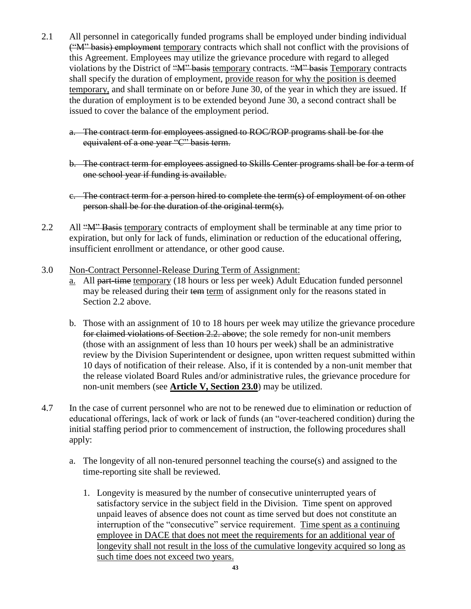- 2.1 All personnel in categorically funded programs shall be employed under binding individual ("M" basis) employment temporary contracts which shall not conflict with the provisions of this Agreement. Employees may utilize the grievance procedure with regard to alleged violations by the District of "M" basis temporary contracts. "M" basis Temporary contracts shall specify the duration of employment, provide reason for why the position is deemed temporary, and shall terminate on or before June 30, of the year in which they are issued. If the duration of employment is to be extended beyond June 30, a second contract shall be issued to cover the balance of the employment period.
	- a. The contract term for employees assigned to ROC/ROP programs shall be for the equivalent of a one year "C" basis term.
	- b. The contract term for employees assigned to Skills Center programs shall be for a term of one school year if funding is available.
	- c. The contract term for a person hired to complete the term(s) of employment of on other person shall be for the duration of the original term(s).
- 2.2 All "M" Basis temporary contracts of employment shall be terminable at any time prior to expiration, but only for lack of funds, elimination or reduction of the educational offering, insufficient enrollment or attendance, or other good cause.
- 3.0 Non-Contract Personnel-Release During Term of Assignment:
	- a. All part-time temporary (18 hours or less per week) Adult Education funded personnel may be released during their tem term of assignment only for the reasons stated in Section 2.2 above.
	- b. Those with an assignment of 10 to 18 hours per week may utilize the grievance procedure for claimed violations of Section 2.2. above; the sole remedy for non-unit members (those with an assignment of less than 10 hours per week) shall be an administrative review by the Division Superintendent or designee, upon written request submitted within 10 days of notification of their release. Also, if it is contended by a non-unit member that the release violated Board Rules and/or administrative rules, the grievance procedure for non-unit members (see **Article V, Section 23.0**) may be utilized.
- 4.7 In the case of current personnel who are not to be renewed due to elimination or reduction of educational offerings, lack of work or lack of funds (an "over-teachered condition) during the initial staffing period prior to commencement of instruction, the following procedures shall apply:
	- a. The longevity of all non-tenured personnel teaching the course(s) and assigned to the time-reporting site shall be reviewed.
		- 1. Longevity is measured by the number of consecutive uninterrupted years of satisfactory service in the subject field in the Division. Time spent on approved unpaid leaves of absence does not count as time served but does not constitute an interruption of the "consecutive" service requirement. Time spent as a continuing employee in DACE that does not meet the requirements for an additional year of longevity shall not result in the loss of the cumulative longevity acquired so long as such time does not exceed two years.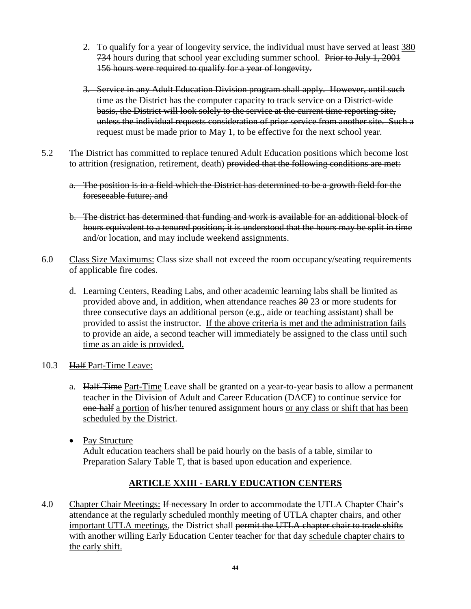- 2. To qualify for a year of longevity service, the individual must have served at least 380 734 hours during that school year excluding summer school. Prior to July 1, 2001 156 hours were required to qualify for a year of longevity.
- 3. Service in any Adult Education Division program shall apply. However, until such time as the District has the computer capacity to track service on a District-wide basis, the District will look solely to the service at the current time reporting site, unless the individual requests consideration of prior service from another site. Such a request must be made prior to May 1, to be effective for the next school year.
- 5.2 The District has committed to replace tenured Adult Education positions which become lost to attrition (resignation, retirement, death) provided that the following conditions are met:
	- a. The position is in a field which the District has determined to be a growth field for the foreseeable future; and
	- b. The district has determined that funding and work is available for an additional block of hours equivalent to a tenured position; it is understood that the hours may be split in time and/or location, and may include weekend assignments.
- 6.0 Class Size Maximums: Class size shall not exceed the room occupancy/seating requirements of applicable fire codes.
	- d. Learning Centers, Reading Labs, and other academic learning labs shall be limited as provided above and, in addition, when attendance reaches 30 23 or more students for three consecutive days an additional person (e.g., aide or teaching assistant) shall be provided to assist the instructor. If the above criteria is met and the administration fails to provide an aide, a second teacher will immediately be assigned to the class until such time as an aide is provided.
- 10.3 Half Part-Time Leave:
	- a. Half-Time Part-Time Leave shall be granted on a year-to-year basis to allow a permanent teacher in the Division of Adult and Career Education (DACE) to continue service for one-half a portion of his/her tenured assignment hours or any class or shift that has been scheduled by the District.
	- Pay Structure Adult education teachers shall be paid hourly on the basis of a table, similar to Preparation Salary Table T, that is based upon education and experience.

## **ARTICLE XXIII - EARLY EDUCATION CENTERS**

4.0 Chapter Chair Meetings: <del>If necessary</del> In order to accommodate the UTLA Chapter Chair's attendance at the regularly scheduled monthly meeting of UTLA chapter chairs, and other important UTLA meetings, the District shall permit the UTLA chapter chair to trade shifts with another willing Early Education Center teacher for that day schedule chapter chairs to the early shift.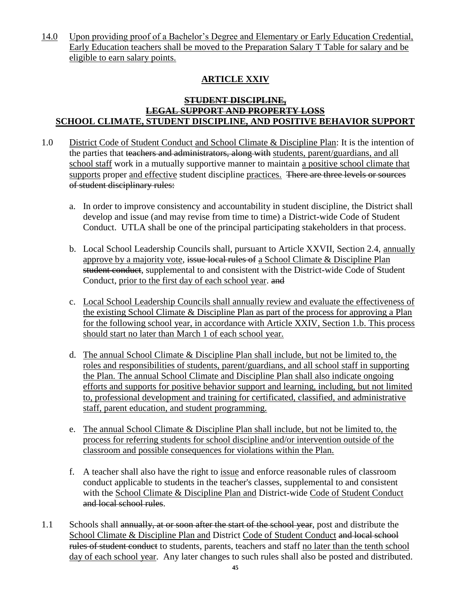14.0 Upon providing proof of a Bachelor's Degree and Elementary or Early Education Credential, Early Education teachers shall be moved to the Preparation Salary T Table for salary and be eligible to earn salary points.

## **ARTICLE XXIV**

### **STUDENT DISCIPLINE, LEGAL SUPPORT AND PROPERTY LOSS SCHOOL CLIMATE, STUDENT DISCIPLINE, AND POSITIVE BEHAVIOR SUPPORT**

- 1.0 District Code of Student Conduct and School Climate & Discipline Plan: It is the intention of the parties that teachers and administrators, along with students, parent/guardians, and all school staff work in a mutually supportive manner to maintain a positive school climate that supports proper and effective student discipline practices. There are three levels or sources of student disciplinary rules:
	- a. In order to improve consistency and accountability in student discipline, the District shall develop and issue (and may revise from time to time) a District-wide Code of Student Conduct. UTLA shall be one of the principal participating stakeholders in that process.
	- b. Local School Leadership Councils shall, pursuant to Article XXVII, Section 2.4, annually approve by a majority vote, issue local rules of a School Climate & Discipline Plan student conduct, supplemental to and consistent with the District-wide Code of Student Conduct, prior to the first day of each school year. and
	- c. Local School Leadership Councils shall annually review and evaluate the effectiveness of the existing School Climate & Discipline Plan as part of the process for approving a Plan for the following school year, in accordance with Article XXIV, Section 1.b. This process should start no later than March 1 of each school year.
	- d. The annual School Climate & Discipline Plan shall include, but not be limited to, the roles and responsibilities of students, parent/guardians, and all school staff in supporting the Plan. The annual School Climate and Discipline Plan shall also indicate ongoing efforts and supports for positive behavior support and learning, including, but not limited to, professional development and training for certificated, classified, and administrative staff, parent education, and student programming.
	- e. The annual School Climate & Discipline Plan shall include, but not be limited to, the process for referring students for school discipline and/or intervention outside of the classroom and possible consequences for violations within the Plan.
	- f. A teacher shall also have the right to issue and enforce reasonable rules of classroom conduct applicable to students in the teacher's classes, supplemental to and consistent with the School Climate & Discipline Plan and District-wide Code of Student Conduct and local school rules.
- 1.1 Schools shall annually, at or soon after the start of the school year, post and distribute the School Climate & Discipline Plan and District Code of Student Conduct and local school rules of student conduct to students, parents, teachers and staff no later than the tenth school day of each school year. Any later changes to such rules shall also be posted and distributed.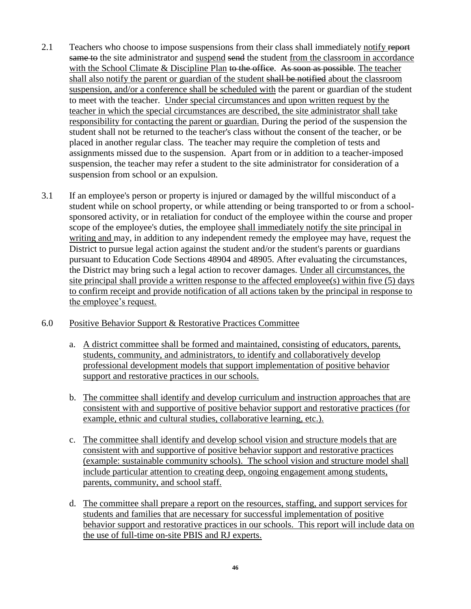- 2.1 Teachers who choose to impose suspensions from their class shall immediately notify report same to the site administrator and suspend send the student from the classroom in accordance with the School Climate  $& Discipline Plan$  to the office. As soon as possible. The teacher shall also notify the parent or guardian of the student shall be notified about the classroom suspension, and/or a conference shall be scheduled with the parent or guardian of the student to meet with the teacher. Under special circumstances and upon written request by the teacher in which the special circumstances are described, the site administrator shall take responsibility for contacting the parent or guardian. During the period of the suspension the student shall not be returned to the teacher's class without the consent of the teacher, or be placed in another regular class. The teacher may require the completion of tests and assignments missed due to the suspension. Apart from or in addition to a teacher-imposed suspension, the teacher may refer a student to the site administrator for consideration of a suspension from school or an expulsion.
- 3.1 If an employee's person or property is injured or damaged by the willful misconduct of a student while on school property, or while attending or being transported to or from a schoolsponsored activity, or in retaliation for conduct of the employee within the course and proper scope of the employee's duties, the employee shall immediately notify the site principal in writing and may, in addition to any independent remedy the employee may have, request the District to pursue legal action against the student and/or the student's parents or guardians pursuant to Education Code Sections 48904 and 48905. After evaluating the circumstances, the District may bring such a legal action to recover damages. Under all circumstances, the site principal shall provide a written response to the affected employee(s) within five (5) days to confirm receipt and provide notification of all actions taken by the principal in response to the employee's request.
- 6.0 Positive Behavior Support & Restorative Practices Committee
	- a. A district committee shall be formed and maintained, consisting of educators, parents, students, community, and administrators, to identify and collaboratively develop professional development models that support implementation of positive behavior support and restorative practices in our schools.
	- b. The committee shall identify and develop curriculum and instruction approaches that are consistent with and supportive of positive behavior support and restorative practices (for example, ethnic and cultural studies, collaborative learning, etc.).
	- c. The committee shall identify and develop school vision and structure models that are consistent with and supportive of positive behavior support and restorative practices (example: sustainable community schools). The school vision and structure model shall include particular attention to creating deep, ongoing engagement among students, parents, community, and school staff.
	- d. The committee shall prepare a report on the resources, staffing, and support services for students and families that are necessary for successful implementation of positive behavior support and restorative practices in our schools. This report will include data on the use of full-time on-site PBIS and RJ experts.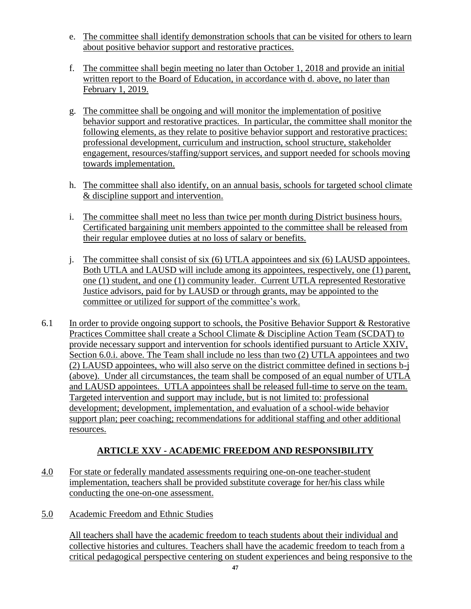- e. The committee shall identify demonstration schools that can be visited for others to learn about positive behavior support and restorative practices.
- f. The committee shall begin meeting no later than October 1, 2018 and provide an initial written report to the Board of Education, in accordance with d. above, no later than February 1, 2019.
- g. The committee shall be ongoing and will monitor the implementation of positive behavior support and restorative practices. In particular, the committee shall monitor the following elements, as they relate to positive behavior support and restorative practices: professional development, curriculum and instruction, school structure, stakeholder engagement, resources/staffing/support services, and support needed for schools moving towards implementation.
- h. The committee shall also identify, on an annual basis, schools for targeted school climate & discipline support and intervention.
- i. The committee shall meet no less than twice per month during District business hours. Certificated bargaining unit members appointed to the committee shall be released from their regular employee duties at no loss of salary or benefits.
- j. The committee shall consist of six (6) UTLA appointees and six (6) LAUSD appointees. Both UTLA and LAUSD will include among its appointees, respectively, one (1) parent, one (1) student, and one (1) community leader. Current UTLA represented Restorative Justice advisors, paid for by LAUSD or through grants, may be appointed to the committee or utilized for support of the committee's work.
- 6.1 In order to provide ongoing support to schools, the Positive Behavior Support & Restorative Practices Committee shall create a School Climate & Discipline Action Team (SCDAT) to provide necessary support and intervention for schools identified pursuant to Article XXIV, Section 6.0.i. above. The Team shall include no less than two (2) UTLA appointees and two (2) LAUSD appointees, who will also serve on the district committee defined in sections b-j (above). Under all circumstances, the team shall be composed of an equal number of UTLA and LAUSD appointees. UTLA appointees shall be released full-time to serve on the team. Targeted intervention and support may include, but is not limited to: professional development; development, implementation, and evaluation of a school-wide behavior support plan; peer coaching; recommendations for additional staffing and other additional resources.

## **ARTICLE XXV - ACADEMIC FREEDOM AND RESPONSIBILITY**

- 4.0 For state or federally mandated assessments requiring one-on-one teacher-student implementation, teachers shall be provided substitute coverage for her/his class while conducting the one-on-one assessment.
- 5.0 Academic Freedom and Ethnic Studies

All teachers shall have the academic freedom to teach students about their individual and collective histories and cultures. Teachers shall have the academic freedom to teach from a critical pedagogical perspective centering on student experiences and being responsive to the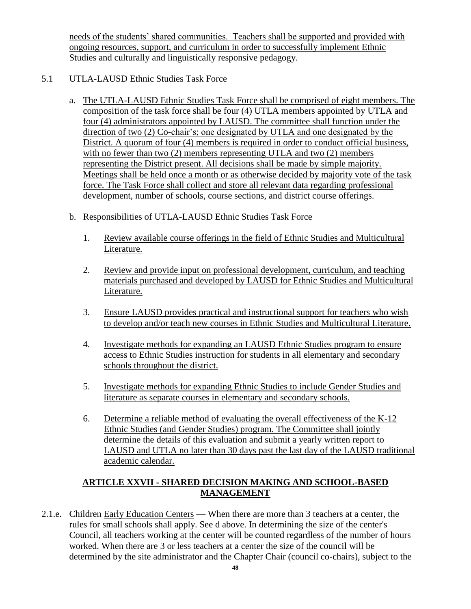needs of the students' shared communities. Teachers shall be supported and provided with ongoing resources, support, and curriculum in order to successfully implement Ethnic Studies and culturally and linguistically responsive pedagogy.

## 5.1 UTLA-LAUSD Ethnic Studies Task Force

- a. The UTLA-LAUSD Ethnic Studies Task Force shall be comprised of eight members. The composition of the task force shall be four (4) UTLA members appointed by UTLA and four (4) administrators appointed by LAUSD. The committee shall function under the direction of two (2) Co-chair's; one designated by UTLA and one designated by the District. A quorum of four (4) members is required in order to conduct official business, with no fewer than two (2) members representing UTLA and two (2) members representing the District present. All decisions shall be made by simple majority. Meetings shall be held once a month or as otherwise decided by majority vote of the task force. The Task Force shall collect and store all relevant data regarding professional development, number of schools, course sections, and district course offerings.
- b. Responsibilities of UTLA-LAUSD Ethnic Studies Task Force
	- 1. Review available course offerings in the field of Ethnic Studies and Multicultural Literature.
	- 2. Review and provide input on professional development, curriculum, and teaching materials purchased and developed by LAUSD for Ethnic Studies and Multicultural Literature.
	- 3. Ensure LAUSD provides practical and instructional support for teachers who wish to develop and/or teach new courses in Ethnic Studies and Multicultural Literature.
	- 4. Investigate methods for expanding an LAUSD Ethnic Studies program to ensure access to Ethnic Studies instruction for students in all elementary and secondary schools throughout the district.
	- 5. Investigate methods for expanding Ethnic Studies to include Gender Studies and literature as separate courses in elementary and secondary schools.
	- 6. Determine a reliable method of evaluating the overall effectiveness of the K-12 Ethnic Studies (and Gender Studies) program. The Committee shall jointly determine the details of this evaluation and submit a yearly written report to LAUSD and UTLA no later than 30 days past the last day of the LAUSD traditional academic calendar.

## **ARTICLE XXVII - SHARED DECISION MAKING AND SCHOOL-BASED MANAGEMENT**

2.1.e. Children Early Education Centers — When there are more than 3 teachers at a center, the rules for small schools shall apply. See d above. In determining the size of the center's Council, all teachers working at the center will be counted regardless of the number of hours worked. When there are 3 or less teachers at a center the size of the council will be determined by the site administrator and the Chapter Chair (council co-chairs), subject to the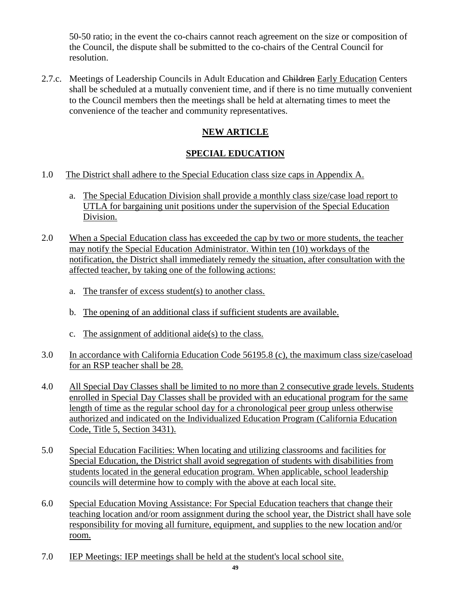50-50 ratio; in the event the co-chairs cannot reach agreement on the size or composition of the Council, the dispute shall be submitted to the co-chairs of the Central Council for resolution.

2.7.c. Meetings of Leadership Councils in Adult Education and Children Early Education Centers shall be scheduled at a mutually convenient time, and if there is no time mutually convenient to the Council members then the meetings shall be held at alternating times to meet the convenience of the teacher and community representatives.

## **NEW ARTICLE**

## **SPECIAL EDUCATION**

- 1.0 The District shall adhere to the Special Education class size caps in Appendix A.
	- a. The Special Education Division shall provide a monthly class size/case load report to UTLA for bargaining unit positions under the supervision of the Special Education Division.
- 2.0 When a Special Education class has exceeded the cap by two or more students, the teacher may notify the Special Education Administrator. Within ten (10) workdays of the notification, the District shall immediately remedy the situation, after consultation with the affected teacher, by taking one of the following actions:
	- a. The transfer of excess student(s) to another class.
	- b. The opening of an additional class if sufficient students are available.
	- c. The assignment of additional aide(s) to the class.
- 3.0 In accordance with California Education Code 56195.8 (c), the maximum class size/caseload for an RSP teacher shall be 28.
- 4.0 All Special Day Classes shall be limited to no more than 2 consecutive grade levels. Students enrolled in Special Day Classes shall be provided with an educational program for the same length of time as the regular school day for a chronological peer group unless otherwise authorized and indicated on the Individualized Education Program (California Education Code, Title 5, Section 3431).
- 5.0 Special Education Facilities: When locating and utilizing classrooms and facilities for Special Education, the District shall avoid segregation of students with disabilities from students located in the general education program. When applicable, school leadership councils will determine how to comply with the above at each local site.
- 6.0 Special Education Moving Assistance: For Special Education teachers that change their teaching location and/or room assignment during the school year, the District shall have sole responsibility for moving all furniture, equipment, and supplies to the new location and/or room.
- 7.0 IEP Meetings: IEP meetings shall be held at the student's local school site.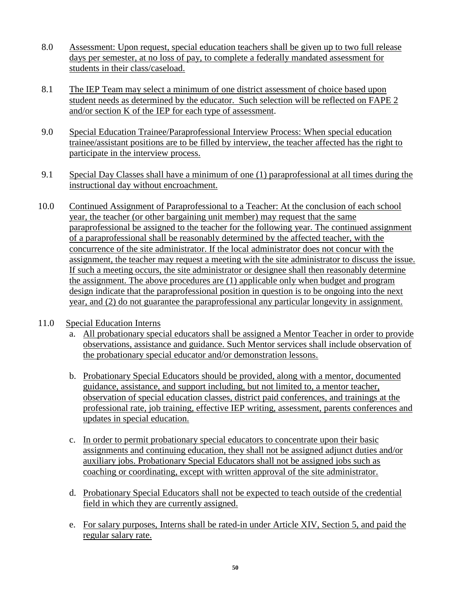- 8.0 Assessment: Upon request, special education teachers shall be given up to two full release days per semester, at no loss of pay, to complete a federally mandated assessment for students in their class/caseload.
- 8.1 The IEP Team may select a minimum of one district assessment of choice based upon student needs as determined by the educator. Such selection will be reflected on FAPE 2 and/or section K of the IEP for each type of assessment.
- 9.0 Special Education Trainee/Paraprofessional Interview Process: When special education trainee/assistant positions are to be filled by interview, the teacher affected has the right to participate in the interview process.
- 9.1 Special Day Classes shall have a minimum of one (1) paraprofessional at all times during the instructional day without encroachment.
- 10.0 Continued Assignment of Paraprofessional to a Teacher: At the conclusion of each school year, the teacher (or other bargaining unit member) may request that the same paraprofessional be assigned to the teacher for the following year. The continued assignment of a paraprofessional shall be reasonably determined by the affected teacher, with the concurrence of the site administrator. If the local administrator does not concur with the assignment, the teacher may request a meeting with the site administrator to discuss the issue. If such a meeting occurs, the site administrator or designee shall then reasonably determine the assignment. The above procedures are (1) applicable only when budget and program design indicate that the paraprofessional position in question is to be ongoing into the next year, and (2) do not guarantee the paraprofessional any particular longevity in assignment.

### 11.0 Special Education Interns

- a. All probationary special educators shall be assigned a Mentor Teacher in order to provide observations, assistance and guidance. Such Mentor services shall include observation of the probationary special educator and/or demonstration lessons.
- b. Probationary Special Educators should be provided, along with a mentor, documented guidance, assistance, and support including, but not limited to, a mentor teacher, observation of special education classes, district paid conferences, and trainings at the professional rate, job training, effective IEP writing, assessment, parents conferences and updates in special education.
- c. In order to permit probationary special educators to concentrate upon their basic assignments and continuing education, they shall not be assigned adjunct duties and/or auxiliary jobs. Probationary Special Educators shall not be assigned jobs such as coaching or coordinating, except with written approval of the site administrator.
- d. Probationary Special Educators shall not be expected to teach outside of the credential field in which they are currently assigned.
- e. For salary purposes, Interns shall be rated-in under Article XIV, Section 5, and paid the regular salary rate.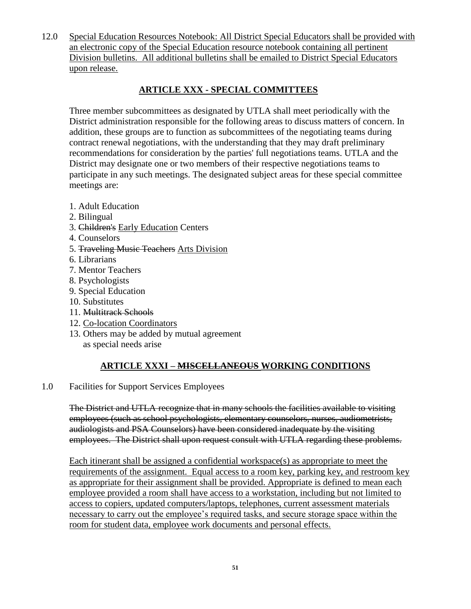12.0 Special Education Resources Notebook: All District Special Educators shall be provided with an electronic copy of the Special Education resource notebook containing all pertinent Division bulletins. All additional bulletins shall be emailed to District Special Educators upon release.

## **ARTICLE XXX - SPECIAL COMMITTEES**

Three member subcommittees as designated by UTLA shall meet periodically with the District administration responsible for the following areas to discuss matters of concern. In addition, these groups are to function as subcommittees of the negotiating teams during contract renewal negotiations, with the understanding that they may draft preliminary recommendations for consideration by the parties' full negotiations teams. UTLA and the District may designate one or two members of their respective negotiations teams to participate in any such meetings. The designated subject areas for these special committee meetings are:

- 1. Adult Education
- 2. Bilingual
- 3. Children's Early Education Centers
- 4. Counselors
- 5. Traveling Music Teachers Arts Division
- 6. Librarians
- 7. Mentor Teachers
- 8. Psychologists
- 9. Special Education
- 10. Substitutes
- 11. Multitrack Schools
- 12. Co-location Coordinators
- 13. Others may be added by mutual agreement as special needs arise

## **ARTICLE XXXI – MISCELLANEOUS WORKING CONDITIONS**

1.0 Facilities for Support Services Employees

The District and UTLA recognize that in many schools the facilities available to visiting employees (such as school psychologists, elementary counselors, nurses, audiometrists, audiologists and PSA Counselors) have been considered inadequate by the visiting employees. The District shall upon request consult with UTLA regarding these problems.

Each itinerant shall be assigned a confidential workspace(s) as appropriate to meet the requirements of the assignment. Equal access to a room key, parking key, and restroom key as appropriate for their assignment shall be provided. Appropriate is defined to mean each employee provided a room shall have access to a workstation, including but not limited to access to copiers, updated computers/laptops, telephones, current assessment materials necessary to carry out the employee's required tasks, and secure storage space within the room for student data, employee work documents and personal effects.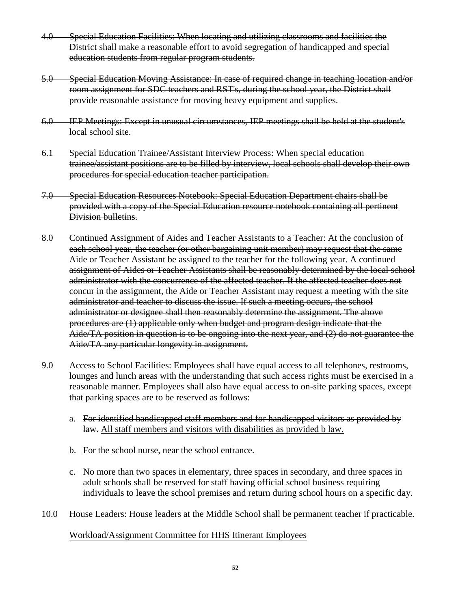- 4.0 Special Education Facilities: When locating and utilizing classrooms and facilities the District shall make a reasonable effort to avoid segregation of handicapped and special education students from regular program students.
- 5.0 Special Education Moving Assistance: In case of required change in teaching location and/or room assignment for SDC teachers and RST's, during the school year, the District shall provide reasonable assistance for moving heavy equipment and supplies.
- 6.0 IEP Meetings: Except in unusual circumstances, IEP meetings shall be held at the student's local school site.
- 6.1 Special Education Trainee/Assistant Interview Process: When special education trainee/assistant positions are to be filled by interview, local schools shall develop their own procedures for special education teacher participation.
- 7.0 Special Education Resources Notebook: Special Education Department chairs shall be provided with a copy of the Special Education resource notebook containing all pertinent Division bulletins.
- 8.0 Continued Assignment of Aides and Teacher Assistants to a Teacher: At the conclusion of each school year, the teacher (or other bargaining unit member) may request that the same Aide or Teacher Assistant be assigned to the teacher for the following year. A continued assignment of Aides or Teacher Assistants shall be reasonably determined by the local school administrator with the concurrence of the affected teacher. If the affected teacher does not concur in the assignment, the Aide or Teacher Assistant may request a meeting with the site administrator and teacher to discuss the issue. If such a meeting occurs, the school administrator or designee shall then reasonably determine the assignment. The above procedures are (1) applicable only when budget and program design indicate that the Aide/TA position in question is to be ongoing into the next year, and (2) do not guarantee the Aide/TA any particular longevity in assignment.
- 9.0 Access to School Facilities: Employees shall have equal access to all telephones, restrooms, lounges and lunch areas with the understanding that such access rights must be exercised in a reasonable manner. Employees shall also have equal access to on-site parking spaces, except that parking spaces are to be reserved as follows:
	- a. For identified handicapped staff members and for handicapped visitors as provided by law. All staff members and visitors with disabilities as provided b law.
	- b. For the school nurse, near the school entrance.
	- c. No more than two spaces in elementary, three spaces in secondary, and three spaces in adult schools shall be reserved for staff having official school business requiring individuals to leave the school premises and return during school hours on a specific day.

### 10.0 House Leaders: House leaders at the Middle School shall be permanent teacher if practicable.

### Workload/Assignment Committee for HHS Itinerant Employees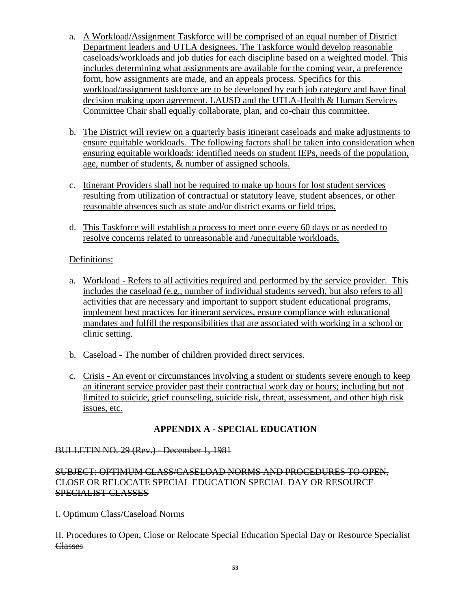- a. A Workload/Assignment Taskforce will be comprised of an equal number of District Department leaders and UTLA designees. The Taskforce would develop reasonable caseloads/workloads and job duties for each discipline based on a weighted model. This includes determining what assignments are available for the coming year, a preference form, how assignments are made, and an appeals process. Specifics for this workload/assignment taskforce are to be developed by each job category and have final decision making upon agreement. LAUSD and the UTLA-Health & Human Services Committee Chair shall equally collaborate, plan, and co-chair this committee.
- b. The District will review on a quarterly basis itinerant caseloads and make adjustments to ensure equitable workloads. The following factors shall be taken into consideration when ensuring equitable workloads: identified needs on student IEPs, needs of the population, age, number of students, & number of assigned schools.
- c. Itinerant Providers shall not be required to make up hours for lost student services resulting from utilization of contractual or statutory leave, student absences, or other reasonable absences such as state and/or district exams or field trips.
- d. This Taskforce will establish a process to meet once every 60 days or as needed to resolve concerns related to unreasonable and /unequitable workloads.

### Definitions:

- a. Workload Refers to all activities required and performed by the service provider. This includes the caseload (e.g., number of individual students served), but also refers to all activities that are necessary and important to support student educational programs, implement best practices for itinerant services, ensure compliance with educational mandates and fulfill the responsibilities that are associated with working in a school or clinic setting.
- b. Caseload The number of children provided direct services.
- c. Crisis An event or circumstances involving a student or students severe enough to keep an itinerant service provider past their contractual work day or hours; including but not limited to suicide, grief counseling, suicide risk, threat, assessment, and other high risk issues, etc.

### **APPENDIX A - SPECIAL EDUCATION**

### BULLETIN NO. 29 (Rev.) - December 1, 1981

### SUBJECT: OPTIMUM CLASS/CASELOAD NORMS AND PROCEDURES TO OPEN, CLOSE OR RELOCATE SPECIAL EDUCATION SPECIAL DAY OR RESOURCE SPECIALIST CLASSES

I. Optimum Class/Caseload Norms

II. Procedures to Open, Close or Relocate Special Education Special Day or Resource Specialist **Classes**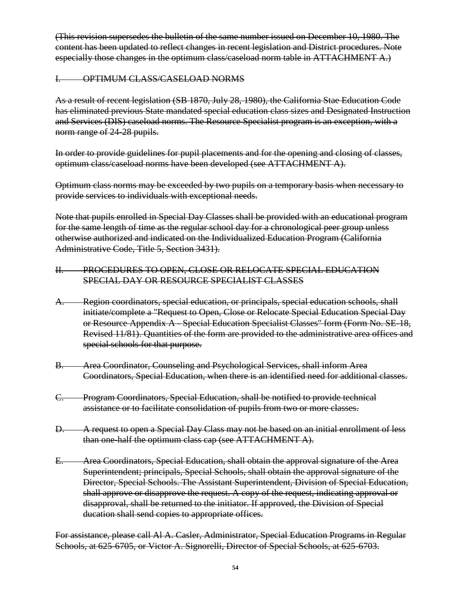(This revision supersedes the bulletin of the same number issued on December 10, 1980. The content has been updated to reflect changes in recent legislation and District procedures. Note especially those changes in the optimum class/caseload norm table in ATTACHMENT A.)

#### I. OPTIMUM CLASS/CASELOAD NORMS

As a result of recent legislation (SB 1870, July 28, 1980), the California Stae Education Code has eliminated previous State mandated special education class sizes and Designated Instruction and Services (DIS) caseload norms. The Resource Specialist program is an exception, with a norm range of 24-28 pupils.

In order to provide guidelines for pupil placements and for the opening and closing of classes, optimum class/caseload norms have been developed (see ATTACHMENT A).

Optimum class norms may be exceeded by two pupils on a temporary basis when necessary to provide services to individuals with exceptional needs.

Note that pupils enrolled in Special Day Classes shall be provided with an educational program for the same length of time as the regular school day for a chronological peer group unless otherwise authorized and indicated on the Individualized Education Program (California Administrative Code, Title 5, Section 3431).

- II. PROCEDURES TO OPEN, CLOSE OR RELOCATE SPECIAL EDUCATION SPECIAL DAY OR RESOURCE SPECIALIST CLASSES
- A. Region coordinators, special education, or principals, special education schools, shall initiate/complete a "Request to Open, Close or Relocate Special Education Special Day or Resource Appendix A - Special Education Specialist Classes" form (Form No. SE-18, Revised 11/81). Quantities of the form are provided to the administrative area offices and special schools for that purpose.
- B. Area Coordinator, Counseling and Psychological Services, shall inform Area Coordinators, Special Education, when there is an identified need for additional classes.
- Program Coordinators, Special Education, shall be notified to provide technical assistance or to facilitate consolidation of pupils from two or more classes.
- D. A request to open a Special Day Class may not be based on an initial enrollment of less than one-half the optimum class cap (see ATTACHMENT A).
- E. Area Coordinators, Special Education, shall obtain the approval signature of the Area Superintendent; principals, Special Schools, shall obtain the approval signature of the Director, Special Schools. The Assistant Superintendent, Division of Special Education, shall approve or disapprove the request. A copy of the request, indicating approval or disapproval, shall be returned to the initiator. If approved, the Division of Special ducation shall send copies to appropriate offices.

For assistance, please call Al A. Casler, Administrator, Special Education Programs in Regular Schools, at 625-6705, or Victor A. Signorelli, Director of Special Schools, at 625-6703.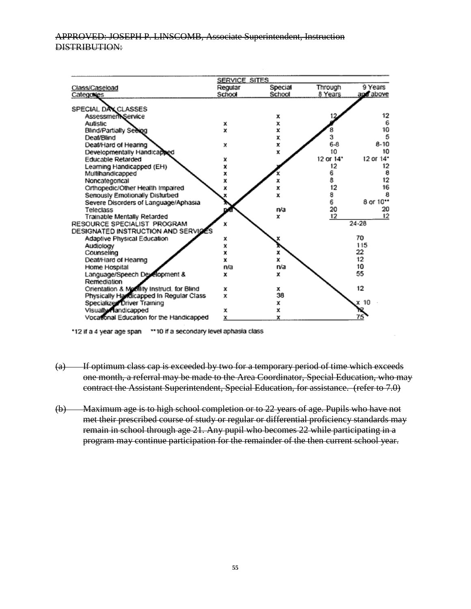### APPROVED: JOSEPH P. LINSCOMB, Associate Superintendent, Instruction DISTRIBUTION:

|                                            | <b>SERVICE SITES</b> |         |           |           |
|--------------------------------------------|----------------------|---------|-----------|-----------|
| Class/Caseload                             | Regular              | Special | Through   | 9 Years   |
| Categories                                 | School               | School  | 8 Years   | and above |
|                                            |                      |         |           |           |
| SPECIAL DAX CLASSES                        |                      |         |           | 12        |
| Assessment Service                         |                      | x       |           |           |
| <b>Autistic</b>                            | x                    | х       |           | 6<br>10   |
| Blind/Partially Seeing                     | x                    | x       |           | 5         |
| Deat/Blind                                 |                      | x       |           |           |
| Deat/Hard of Hearing                       | X                    | x       | $6-8$     | $8 - 10$  |
| Developmentally Handicappe                 |                      | x       | 10        | 10        |
| <b>Educable Retarded</b>                   | x                    |         | 12 or 14* | 12 or 14* |
| Learning Handicapped (EH)                  | ×                    |         | 12        | 12        |
| Multihandicapped                           |                      |         | 6         | 8         |
| Noncategorical                             |                      |         | 8         | 12        |
| Orthopedic/Other Health Impaired           |                      |         | 12        | 16        |
| Senously Emotionally Disturbed             |                      | ×       | 8         | 8         |
| Severe Disorders of Language/Aphasia       |                      |         | 6         | 8 or 10** |
| Teleclass                                  |                      | n/a     | 20        | 20        |
| Trainable Mentally Retarded                |                      | x       | 12        | 12        |
| RESOURCE SPECIALIST PROGRAM                |                      |         |           | 24-28     |
| DESIGNATED INSTRUCTION AND SERVIC          |                      |         |           |           |
| Adaptive Physical Education                | x                    |         |           | 70        |
| Audiology                                  | x                    |         |           | 115       |
| Counseling                                 | x                    | x       |           | 22        |
| Deat/Hard of Hearing                       | x                    | x       |           | 12        |
| Home Hospital                              | n/a                  | n/a     |           | 10        |
| Language/Speech Development &              | x                    | x       |           | 55        |
| Remediation                                |                      |         |           |           |
| Orientation & Mobility Instruct, for Blind | x                    | x       |           | 12        |
| Physically Handicapped In Regular Class    | x                    | 38      |           |           |
| Specializer Driver Training                |                      | x       |           | 10        |
| Visually Tandicapped                       | x                    | x       |           |           |
|                                            |                      | x       |           |           |
| Vocational Education for the Handicapped   | x                    |         |           |           |

\*12 if a 4 year age span \*\* 10 if a secondary level aphasia class

- (a) If optimum class cap is exceeded by two for a temporary period of time which exceeds one month, a referral may be made to the Area Coordinator, Special Education, who may contract the Assistant Superintendent, Special Education, for assistance. (refer to 7.0)
- (b) Maximum age is to high school completion or to 22 years of age. Pupils who have not met their prescribed course of study or regular or differential proficiency standards may remain in school through age 21. Any pupil who becomes 22 while participating in a program may continue participation for the remainder of the then current school year.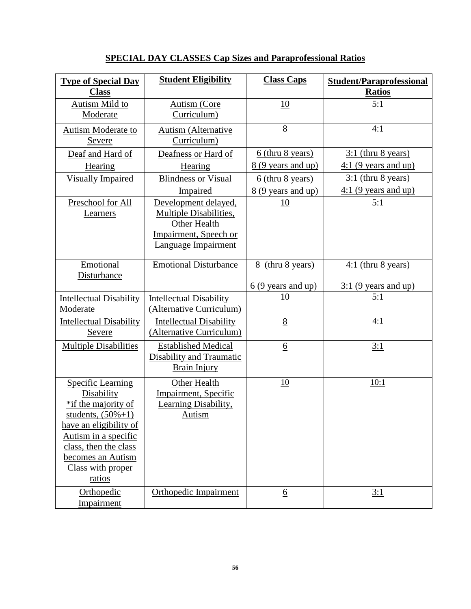# **SPECIAL DAY CLASSES Cap Sizes and Paraprofessional Ratios**

| <b>Type of Special Day</b><br><b>Class</b>                                                                                                                                                                             | <b>Student Eligibility</b>                                                                                            | <b>Class Caps</b>                               | <b>Student/Paraprofessional</b><br><b>Ratios</b> |
|------------------------------------------------------------------------------------------------------------------------------------------------------------------------------------------------------------------------|-----------------------------------------------------------------------------------------------------------------------|-------------------------------------------------|--------------------------------------------------|
| Autism Mild to<br>Moderate                                                                                                                                                                                             | Autism (Core<br>Curriculum)                                                                                           | 10                                              | 5:1                                              |
| Autism Moderate to<br>Severe                                                                                                                                                                                           | Autism (Alternative<br>Curriculum)                                                                                    | 8                                               | 4:1                                              |
| Deaf and Hard of<br>Hearing                                                                                                                                                                                            | Deafness or Hard of<br>Hearing                                                                                        | 6 (thru 8 years)<br>8 (9 years and up)          | $3:1$ (thru 8 years)<br>$4:1$ (9 years and up)   |
| <b>Visually Impaired</b>                                                                                                                                                                                               | <b>Blindness or Visual</b><br>Impaired                                                                                | 6 (thru 8 years)<br>8 (9 years and up)          | $3:1$ (thru 8 years)<br>$4:1$ (9 years and up)   |
| Preschool for All<br>Learners                                                                                                                                                                                          | Development delayed,<br>Multiple Disabilities,<br>Other Health<br>Impairment, Speech or<br><b>Language Impairment</b> | 10                                              | 5:1                                              |
| Emotional<br>Disturbance                                                                                                                                                                                               | <b>Emotional Disturbance</b>                                                                                          | 8 (thru 8 years)<br>$6(9 \text{ years and up})$ | $4:1$ (thru 8 years)<br>$3:1$ (9 years and up)   |
| <b>Intellectual Disability</b><br>Moderate                                                                                                                                                                             | <b>Intellectual Disability</b><br>(Alternative Curriculum)                                                            | <u>10</u>                                       | 5:1                                              |
| <b>Intellectual Disability</b><br>Severe                                                                                                                                                                               | <b>Intellectual Disability</b><br>(Alternative Curriculum)                                                            | $8\overline{8}$                                 | 4:1                                              |
| <b>Multiple Disabilities</b>                                                                                                                                                                                           | <b>Established Medical</b><br><b>Disability and Traumatic</b><br>Brain Injury                                         | 6                                               | 3:1                                              |
| <b>Specific Learning</b><br>Disability<br>*if the majority of<br>students, $(50\% + 1)$<br>have an eligibility of<br>Autism in a specific<br>class, then the class<br>becomes an Autism<br>Class with proper<br>ratios | <b>Other Health</b><br>Impairment, Specific<br>Learning Disability,<br><b>Autism</b>                                  | <u>10</u>                                       | 10:1                                             |
| Orthopedic<br>Impairment                                                                                                                                                                                               | <b>Orthopedic Impairment</b>                                                                                          | $\underline{6}$                                 | 3:1                                              |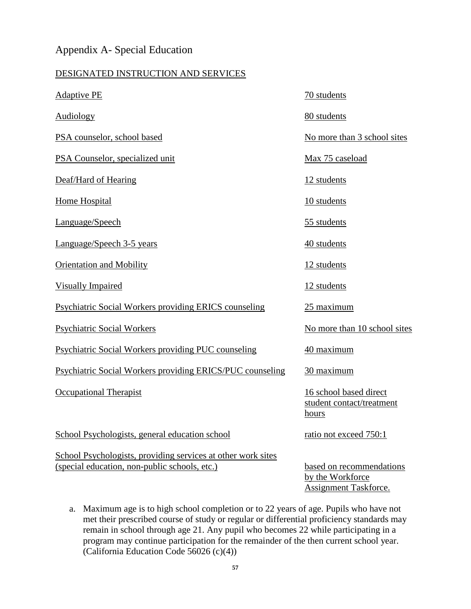## Appendix A- Special Education

### DESIGNATED INSTRUCTION AND SERVICES

| <b>Adaptive PE</b>                                                                                            | 70 students                                                                  |
|---------------------------------------------------------------------------------------------------------------|------------------------------------------------------------------------------|
| <b>Audiology</b>                                                                                              | 80 students                                                                  |
| PSA counselor, school based                                                                                   | No more than 3 school sites                                                  |
| PSA Counselor, specialized unit                                                                               | Max 75 caseload                                                              |
| Deaf/Hard of Hearing                                                                                          | 12 students                                                                  |
| <b>Home Hospital</b>                                                                                          | 10 students                                                                  |
| Language/Speech                                                                                               | 55 students                                                                  |
| Language/Speech 3-5 years                                                                                     | 40 students                                                                  |
| Orientation and Mobility                                                                                      | 12 students                                                                  |
| <b>Visually Impaired</b>                                                                                      | 12 students                                                                  |
| <b>Psychiatric Social Workers providing ERICS counseling</b>                                                  | 25 maximum                                                                   |
| <b>Psychiatric Social Workers</b>                                                                             | No more than 10 school sites                                                 |
| <b>Psychiatric Social Workers providing PUC counseling</b>                                                    | 40 maximum                                                                   |
| <b>Psychiatric Social Workers providing ERICS/PUC counseling</b>                                              | 30 maximum                                                                   |
| <b>Occupational Therapist</b>                                                                                 | 16 school based direct<br>student contact/treatment<br>hours                 |
| School Psychologists, general education school                                                                | ratio not exceed 750:1                                                       |
| School Psychologists, providing services at other work sites<br>(special education, non-public schools, etc.) | based on recommendations<br>by the Workforce<br><b>Assignment Taskforce.</b> |

a. Maximum age is to high school completion or to 22 years of age. Pupils who have not met their prescribed course of study or regular or differential proficiency standards may remain in school through age 21. Any pupil who becomes 22 while participating in a program may continue participation for the remainder of the then current school year. (California Education Code 56026 (c)(4))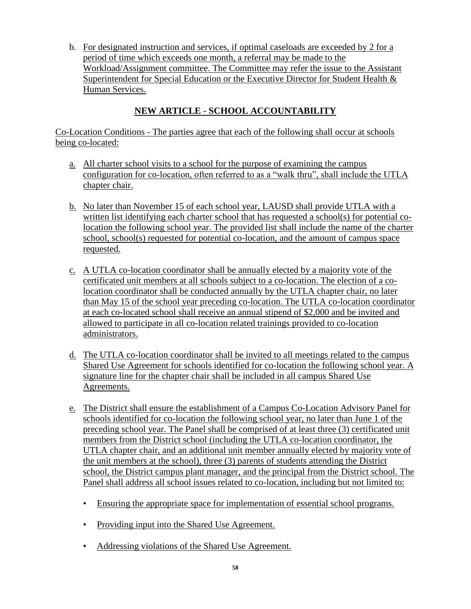b. For designated instruction and services, if optimal caseloads are exceeded by 2 for a period of time which exceeds one month, a referral may be made to the Workload/Assignment committee. The Committee may refer the issue to the Assistant Superintendent for Special Education or the Executive Director for Student Health & Human Services.

## **NEW ARTICLE - SCHOOL ACCOUNTABILITY**

Co-Location Conditions - The parties agree that each of the following shall occur at schools being co-located:

- a. All charter school visits to a school for the purpose of examining the campus configuration for co-location, often referred to as a "walk thru", shall include the UTLA chapter chair.
- b. No later than November 15 of each school year, LAUSD shall provide UTLA with a written list identifying each charter school that has requested a school(s) for potential colocation the following school year. The provided list shall include the name of the charter school, school(s) requested for potential co-location, and the amount of campus space requested.
- c. A UTLA co-location coordinator shall be annually elected by a majority vote of the certificated unit members at all schools subject to a co-location. The election of a colocation coordinator shall be conducted annually by the UTLA chapter chair, no later than May 15 of the school year preceding co-location. The UTLA co-location coordinator at each co-located school shall receive an annual stipend of \$2,000 and be invited and allowed to participate in all co-location related trainings provided to co-location administrators.
- d. The UTLA co-location coordinator shall be invited to all meetings related to the campus Shared Use Agreement for schools identified for co-location the following school year. A signature line for the chapter chair shall be included in all campus Shared Use Agreements.
- e. The District shall ensure the establishment of a Campus Co-Location Advisory Panel for schools identified for co-location the following school year, no later than June 1 of the preceding school year. The Panel shall be comprised of at least three (3) certificated unit members from the District school (including the UTLA co-location coordinator, the UTLA chapter chair, and an additional unit member annually elected by majority vote of the unit members at the school), three (3) parents of students attending the District school, the District campus plant manager, and the principal from the District school. The Panel shall address all school issues related to co-location, including but not limited to:
	- Ensuring the appropriate space for implementation of essential school programs.
	- Providing input into the Shared Use Agreement.
	- Addressing violations of the Shared Use Agreement.